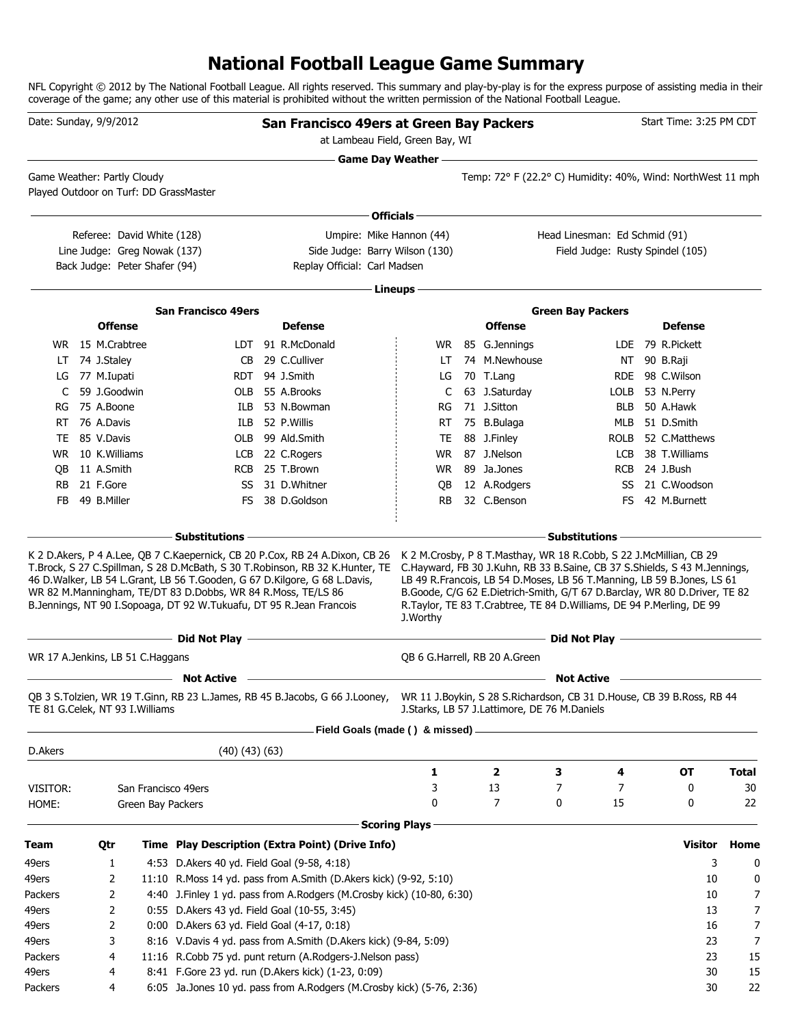### **National Football League Game Summary**

NFL Copyright © 2012 by The National Football League. All rights reserved. This summary and play-by-play is for the express purpose of assisting media in their coverage of the game; any other use of this material is prohibited without the written permission of the National Football League.

| Date: Sunday, 9/9/2012           |                                                            |                   |                                                                                                                                     | San Francisco 49ers at Green Bay Packers                                    | at Lambeau Field, Green Bay, WI |                                                                                                                                                       |                          |                               | Start Time: 3:25 PM CDT          |              |
|----------------------------------|------------------------------------------------------------|-------------------|-------------------------------------------------------------------------------------------------------------------------------------|-----------------------------------------------------------------------------|---------------------------------|-------------------------------------------------------------------------------------------------------------------------------------------------------|--------------------------|-------------------------------|----------------------------------|--------------|
| Game Weather: Partly Cloudy      |                                                            |                   | Played Outdoor on Turf: DD GrassMaster                                                                                              |                                                                             | <b>Game Day Weather —</b>       | <u> 1989 - Johann Barn, amerikansk politiker (d. 1989)</u><br>Temp: 72° F (22.2° C) Humidity: 40%, Wind: NorthWest 11 mph                             |                          |                               |                                  |              |
|                                  |                                                            |                   |                                                                                                                                     |                                                                             |                                 |                                                                                                                                                       |                          |                               |                                  |              |
|                                  |                                                            |                   |                                                                                                                                     |                                                                             | Officials -                     |                                                                                                                                                       |                          |                               |                                  |              |
|                                  | Referee: David White (128)<br>Line Judge: Greg Nowak (137) |                   |                                                                                                                                     | Side Judge: Barry Wilson (130)                                              | Umpire: Mike Hannon (44)        |                                                                                                                                                       |                          | Head Linesman: Ed Schmid (91) | Field Judge: Rusty Spindel (105) |              |
|                                  | Back Judge: Peter Shafer (94)                              |                   |                                                                                                                                     | Replay Official: Carl Madsen                                                |                                 |                                                                                                                                                       |                          |                               |                                  |              |
|                                  |                                                            |                   |                                                                                                                                     |                                                                             |                                 |                                                                                                                                                       |                          |                               |                                  |              |
|                                  |                                                            |                   |                                                                                                                                     |                                                                             | Lineups                         |                                                                                                                                                       |                          |                               |                                  |              |
|                                  |                                                            |                   | <b>San Francisco 49ers</b>                                                                                                          |                                                                             |                                 |                                                                                                                                                       | <b>Green Bay Packers</b> |                               |                                  |              |
|                                  | <b>Offense</b>                                             |                   |                                                                                                                                     | <b>Defense</b>                                                              |                                 | <b>Offense</b>                                                                                                                                        |                          |                               | <b>Defense</b>                   |              |
|                                  | WR 15 M.Crabtree                                           |                   |                                                                                                                                     | LDT 91 R.McDonald                                                           |                                 | WR 85 G.Jennings                                                                                                                                      |                          |                               | LDE 79 R.Pickett                 |              |
| LT.                              | 74 J.Staley                                                |                   | CВ                                                                                                                                  | 29 C.Culliver                                                               | LT                              | 74 M.Newhouse                                                                                                                                         |                          |                               | NT 90 B.Raji                     |              |
| LG                               | 77 M.Iupati                                                |                   | RDT                                                                                                                                 | 94 J.Smith                                                                  | LG                              | 70 T.Lang                                                                                                                                             |                          |                               | RDE 98 C.Wilson                  |              |
| C                                | 59 J.Goodwin<br>75 A.Boone                                 |                   | OLB                                                                                                                                 | 55 A.Brooks<br>53 N.Bowman                                                  | C                               | 63 J.Saturday<br>71 J.Sitton                                                                                                                          |                          | LOLB                          | 53 N.Perry<br>50 A.Hawk          |              |
| RG                               | 76 A.Davis                                                 |                   | ILB                                                                                                                                 | 52 P.Willis                                                                 | RG                              |                                                                                                                                                       |                          | BLB                           | 51 D.Smith                       |              |
| RT.<br>TE                        | 85 V.Davis                                                 |                   | ILB<br>OLB                                                                                                                          | 99 Ald.Smith                                                                | RT<br>TE                        | 75 B.Bulaga<br>88 J.Finley                                                                                                                            |                          | MLB<br>ROLB                   | 52 C.Matthews                    |              |
| WR.                              | 10 K.Williams                                              |                   |                                                                                                                                     | LCB 22 C.Rogers                                                             | WR.                             | 87 J.Nelson                                                                                                                                           |                          | <b>LCB</b>                    | 38 T.Williams                    |              |
| OВ                               | 11 A.Smith                                                 |                   |                                                                                                                                     | RCB 25 T.Brown                                                              | WR.                             | 89 Ja.Jones                                                                                                                                           |                          | <b>RCB</b>                    | 24 J.Bush                        |              |
| RB.                              | 21 F.Gore                                                  |                   | SS                                                                                                                                  | 31 D.Whitner                                                                | QB                              | 12 A.Rodgers                                                                                                                                          |                          | SS                            | 21 C.Woodson                     |              |
| FB.                              | 49 B.Miller                                                |                   | FS.                                                                                                                                 | 38 D.Goldson                                                                | <b>RB</b>                       | 32 C.Benson                                                                                                                                           |                          | FS.                           | 42 M.Burnett                     |              |
|                                  |                                                            |                   | WR 82 M.Manningham, TE/DT 83 D.Dobbs, WR 84 R.Moss, TE/LS 86<br>B.Jennings, NT 90 I.Sopoaga, DT 92 W.Tukuafu, DT 95 R.Jean Francois |                                                                             | J. Worthy                       | B.Goode, C/G 62 E.Dietrich-Smith, G/T 67 D.Barclay, WR 80 D.Driver, TE 82<br>R. Taylor, TE 83 T. Crabtree, TE 84 D. Williams, DE 94 P. Merling, DE 99 |                          |                               |                                  |              |
|                                  |                                                            |                   | - Did Not Play—                                                                                                                     |                                                                             |                                 |                                                                                                                                                       | Did Not Play -           |                               |                                  |              |
| WR 17 A.Jenkins, LB 51 C.Haggans |                                                            |                   |                                                                                                                                     |                                                                             |                                 | QB 6 G.Harrell, RB 20 A.Green                                                                                                                         |                          |                               |                                  |              |
|                                  |                                                            |                   | <b>Not Active</b>                                                                                                                   |                                                                             |                                 |                                                                                                                                                       | <b>Not Active</b>        |                               |                                  |              |
| TE 81 G.Celek, NT 93 I.Williams  |                                                            |                   |                                                                                                                                     | QB 3 S.Tolzien, WR 19 T.Ginn, RB 23 L.James, RB 45 B.Jacobs, G 66 J.Looney, |                                 | WR 11 J.Boykin, S 28 S.Richardson, CB 31 D.House, CB 39 B.Ross, RB 44<br>J.Starks, LB 57 J.Lattimore, DE 76 M.Daniels                                 |                          |                               |                                  |              |
|                                  |                                                            |                   |                                                                                                                                     | Field Goals (made () & missed)                                              |                                 |                                                                                                                                                       |                          |                               |                                  |              |
| D.Akers                          |                                                            |                   | $(40)$ $(43)$ $(63)$                                                                                                                |                                                                             |                                 |                                                                                                                                                       |                          |                               |                                  |              |
|                                  |                                                            |                   |                                                                                                                                     |                                                                             | 1                               | $\overline{\mathbf{2}}$                                                                                                                               | з                        | 4                             | OT                               | <b>Total</b> |
| VISITOR:                         |                                                            |                   | San Francisco 49ers                                                                                                                 |                                                                             | 3                               | 13                                                                                                                                                    | 7                        | 7                             | 0                                | 30           |
| HOME:                            |                                                            | Green Bay Packers |                                                                                                                                     |                                                                             | 0                               | 7                                                                                                                                                     | 0                        | 15                            | 0                                | 22           |
|                                  |                                                            |                   |                                                                                                                                     |                                                                             | <b>Scoring Plays</b>            |                                                                                                                                                       |                          |                               |                                  |              |
| Team                             | Qtr                                                        |                   |                                                                                                                                     | Time Play Description (Extra Point) (Drive Info)                            |                                 |                                                                                                                                                       |                          |                               | Visitor                          | Home         |
| 49ers                            | 1                                                          |                   | 4:53 D.Akers 40 yd. Field Goal (9-58, 4:18)                                                                                         |                                                                             |                                 |                                                                                                                                                       |                          |                               | 3                                | 0            |
| 49ers                            | 2                                                          |                   |                                                                                                                                     | 11:10 R.Moss 14 yd. pass from A.Smith (D.Akers kick) (9-92, 5:10)           |                                 |                                                                                                                                                       |                          |                               | 10                               | 0            |
| Packers                          | 2                                                          |                   |                                                                                                                                     | 4:40 J. Finley 1 yd. pass from A. Rodgers (M. Crosby kick) (10-80, 6:30)    |                                 |                                                                                                                                                       |                          |                               | 10                               | 7            |
| 49ers                            | 2                                                          |                   | 0:55 D.Akers 43 yd. Field Goal (10-55, 3:45)                                                                                        |                                                                             |                                 |                                                                                                                                                       |                          |                               | 13                               | 7            |
| 49ers                            | 2                                                          |                   | 0:00 D.Akers 63 yd. Field Goal (4-17, 0:18)                                                                                         |                                                                             |                                 |                                                                                                                                                       |                          |                               | 16                               | 7            |
| 49ers                            | 3                                                          |                   |                                                                                                                                     | 8:16 V.Davis 4 yd. pass from A.Smith (D.Akers kick) (9-84, 5:09)            |                                 |                                                                                                                                                       |                          |                               | 23                               | 7            |
| Packers                          | 4                                                          |                   |                                                                                                                                     | 11:16 R.Cobb 75 yd. punt return (A.Rodgers-J.Nelson pass)                   |                                 |                                                                                                                                                       |                          |                               | 23                               | 15           |
| 49ers                            | 4                                                          |                   |                                                                                                                                     | 8:41 F.Gore 23 yd. run (D.Akers kick) (1-23, 0:09)                          |                                 |                                                                                                                                                       |                          |                               | 30                               | 15           |
| Packers                          | 4                                                          |                   |                                                                                                                                     | 6:05 Ja.Jones 10 yd. pass from A.Rodgers (M.Crosby kick) (5-76, 2:36)       |                                 |                                                                                                                                                       |                          |                               | 30                               | 22           |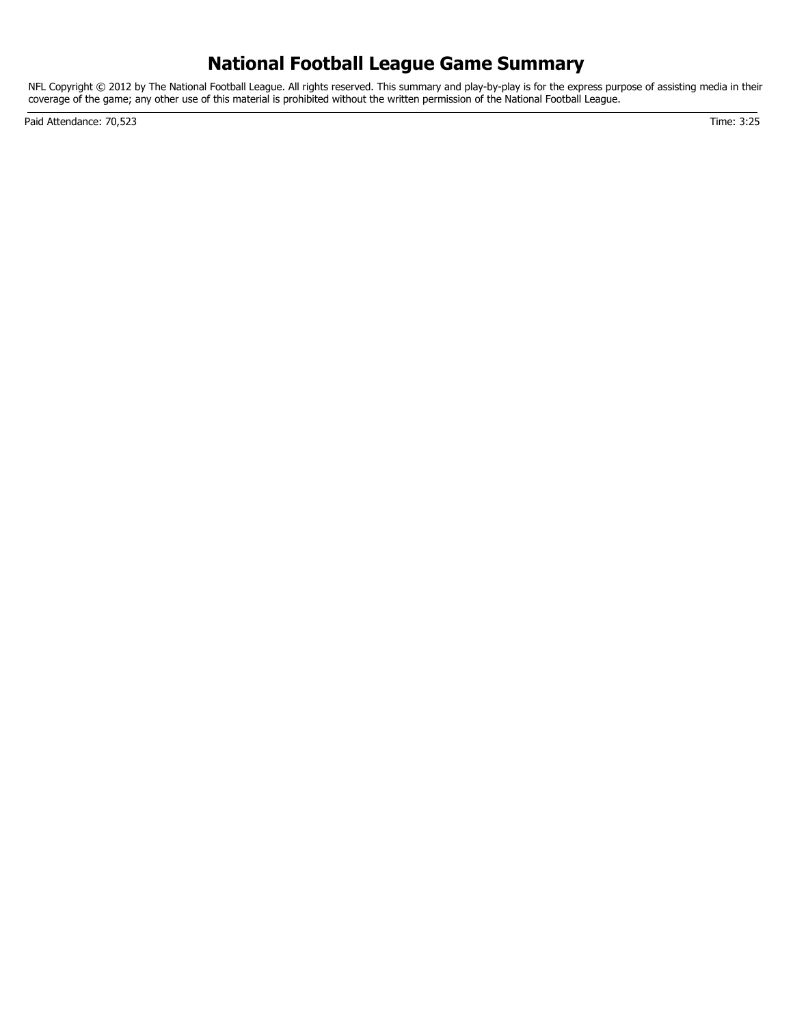### **National Football League Game Summary**

NFL Copyright © 2012 by The National Football League. All rights reserved. This summary and play-by-play is for the express purpose of assisting media in their coverage of the game; any other use of this material is prohibited without the written permission of the National Football League.

Paid Attendance: 70,523 Time: 3:25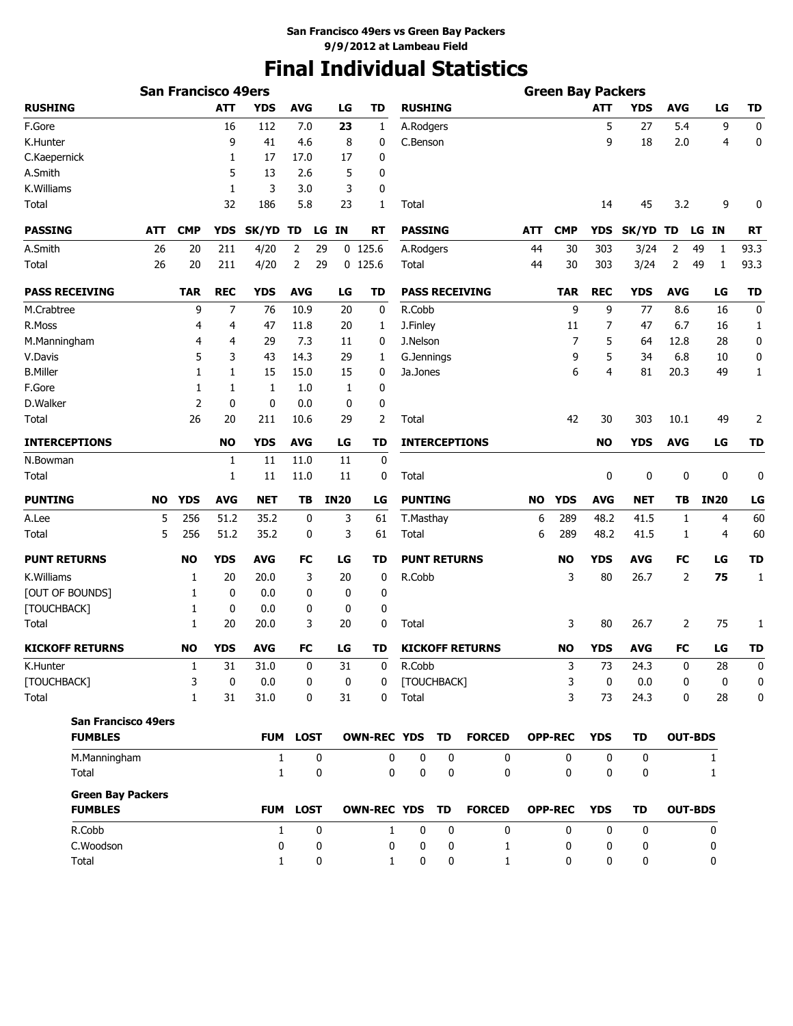# **Final Individual Statistics**

|                            |            | <b>San Francisco 49ers</b> |            |              |                 |             |                |                     |             |                        |           |                | <b>Green Bay Packers</b> |             |            |                |              |
|----------------------------|------------|----------------------------|------------|--------------|-----------------|-------------|----------------|---------------------|-------------|------------------------|-----------|----------------|--------------------------|-------------|------------|----------------|--------------|
| <b>RUSHING</b>             |            |                            | <b>ATT</b> | <b>YDS</b>   | <b>AVG</b>      | LG          | TD             | <b>RUSHING</b>      |             |                        |           |                | <b>ATT</b>               | <b>YDS</b>  | <b>AVG</b> | LG             | TD           |
| F.Gore                     |            |                            | 16         | 112          | 7.0             | 23          | 1              | A.Rodgers           |             |                        |           |                | 5                        | 27          | 5.4        | 9              | 0            |
| K.Hunter                   |            |                            | 9          | 41           | 4.6             | 8           | 0              | C.Benson            |             |                        |           |                | 9                        | 18          | 2.0        | 4              | 0            |
| C.Kaepernick               |            |                            | 1          | 17           | 17.0            | 17          | 0              |                     |             |                        |           |                |                          |             |            |                |              |
| A.Smith                    |            |                            | 5          | 13           | 2.6             | 5           | 0              |                     |             |                        |           |                |                          |             |            |                |              |
| K.Williams                 |            |                            | 1          | 3            | 3.0             | 3           | 0              |                     |             |                        |           |                |                          |             |            |                |              |
| Total                      |            |                            | 32         | 186          | 5.8             | 23          | 1              | Total               |             |                        |           |                | 14                       | 45          | 3.2        | 9              | 0            |
| <b>PASSING</b>             | <b>ATT</b> | <b>CMP</b>                 | <b>YDS</b> | SK/YD        | TD              | LG IN       | RT             | <b>PASSING</b>      |             |                        | ATT       | <b>CMP</b>     | <b>YDS</b>               | SK/YD TD    |            | LG IN          | RT           |
| A.Smith                    | 26         | 20                         | 211        | 4/20         | 2               | 29          | $0$ 125.6      | A.Rodgers           |             |                        | 44        | 30             | 303                      | 3/24        | 2          | 49<br>1        | 93.3         |
| Total                      | 26         | 20                         | 211        | 4/20         | 2               | 29          | $0$ 125.6      | Total               |             |                        | 44        | 30             | 303                      | 3/24        | 2          | 49<br>1        | 93.3         |
| <b>PASS RECEIVING</b>      |            | <b>TAR</b>                 | <b>REC</b> | <b>YDS</b>   | <b>AVG</b>      | LG          | TD             |                     |             | <b>PASS RECEIVING</b>  |           | TAR            | <b>REC</b>               | <b>YDS</b>  | <b>AVG</b> | LG             | <b>TD</b>    |
| M.Crabtree                 |            | 9                          | 7          | 76           | 10.9            | 20          | 0              | R.Cobb              |             |                        |           | 9              | 9                        | 77          | 8.6        | 16             | 0            |
| R.Moss                     |            | 4                          | 4          | 47           | 11.8            | 20          | 1              | J.Finley            |             |                        |           | 11             | 7                        | 47          | 6.7        | 16             | 1            |
| M.Manningham               |            | 4                          | 4          | 29           | 7.3             | 11          | 0              | J.Nelson            |             |                        |           | 7              | 5                        | 64          | 12.8       | 28             | 0            |
| V.Davis                    |            | 5                          | 3          | 43           | 14.3            | 29          | 1              | G.Jennings          |             |                        |           | 9              | 5                        | 34          | 6.8        | 10             | 0            |
| <b>B.Miller</b>            |            | 1                          | 1          | 15           | 15.0            | 15          | 0              | Ja.Jones            |             |                        |           | 6              | 4                        | 81          | 20.3       | 49             | $\mathbf{1}$ |
| F.Gore                     |            | 1                          | 1          | 1            | 1.0             | 1           | 0              |                     |             |                        |           |                |                          |             |            |                |              |
| D.Walker                   |            | $\overline{2}$             | 0          | 0            | 0.0             | 0           | 0              |                     |             |                        |           |                |                          |             |            |                |              |
| Total                      |            | 26                         | 20         | 211          | 10.6            | 29          | 2              | Total               |             |                        |           | 42             | 30                       | 303         | 10.1       | 49             | 2            |
| <b>INTERCEPTIONS</b>       |            |                            | <b>NO</b>  | <b>YDS</b>   | <b>AVG</b>      | LG          | TD             |                     |             | <b>INTERCEPTIONS</b>   |           |                | NO                       | YDS         | <b>AVG</b> | LG             | TD           |
| N.Bowman                   |            |                            | 1          | 11           | 11.0            | 11          | 0              |                     |             |                        |           |                |                          |             |            |                |              |
| Total                      |            |                            | 1          | 11           | 11.0            | 11          | 0              | Total               |             |                        |           |                | 0                        | 0           | 0          | $\mathbf 0$    | 0            |
| <b>PUNTING</b>             | NO         | <b>YDS</b>                 | <b>AVG</b> | <b>NET</b>   | TВ              | <b>IN20</b> | LG             | <b>PUNTING</b>      |             |                        | <b>NO</b> | <b>YDS</b>     | <b>AVG</b>               | <b>NET</b>  | TΒ         | <b>IN20</b>    | LG           |
| A.Lee                      | 5          | 256                        | 51.2       | 35.2         | 0               | 3           | 61             | T.Masthay           |             |                        | 6         | 289            | 48.2                     | 41.5        | 1          | 4              | 60           |
| Total                      | 5          | 256                        | 51.2       | 35.2         | 0               | 3           | 61             | Total               |             |                        | 6         | 289            | 48.2                     | 41.5        | 1          | 4              | 60           |
| <b>PUNT RETURNS</b>        |            | NO                         | <b>YDS</b> | <b>AVG</b>   | FC              | LG          | TD             | <b>PUNT RETURNS</b> |             |                        |           | <b>NO</b>      | <b>YDS</b>               | <b>AVG</b>  | FC         | LG             | <b>TD</b>    |
| K.Williams                 |            | 1                          | 20         | 20.0         | 3               | 20          | 0              | R.Cobb              |             |                        |           | 3              | 80                       | 26.7        | 2          | 75             | 1            |
| <b>[OUT OF BOUNDS]</b>     |            | 1                          | 0          | 0.0          | 0               | 0           | 0              |                     |             |                        |           |                |                          |             |            |                |              |
| [TOUCHBACK]                |            | 1                          | 0          | 0.0          | 0               | 0           | 0              |                     |             |                        |           |                |                          |             |            |                |              |
| Total                      |            | 1                          | 20         | 20.0         | 3               | 20          | 0              | Total               |             |                        |           | 3              | 80                       | 26.7        | 2          | 75             | 1            |
| <b>KICKOFF RETURNS</b>     |            | <b>NO</b>                  | <b>YDS</b> | <b>AVG</b>   | <b>FC</b>       | LG          | TD             |                     |             | <b>KICKOFF RETURNS</b> |           | <b>NO</b>      | <b>YDS</b>               | <b>AVG</b>  | FC         | LG             | <b>TD</b>    |
| K.Hunter                   |            | 1                          | 31         | 31.0         | 0               | 31          | $\Omega$       | R.Cobb              |             |                        |           | 3              | 73                       | 24.3        | 0          | 28             | $\Omega$     |
| [TOUCHBACK]                |            | 3                          | 0          | 0.0          | 0               | 0           | 0              | [TOUCHBACK]         |             |                        |           | 3              | 0                        | 0.0         | 0          | 0              | 0            |
| Total                      |            | $\mathbf{1}$               | 31         | 31.0         | $\mathbf 0$     | 31          | $\mathbf 0$    | Total               |             |                        |           | 3              | 73                       | 24.3        | 0          | 28             | 0            |
| <b>San Francisco 49ers</b> |            |                            |            |              |                 |             |                |                     |             |                        |           |                |                          |             |            |                |              |
| <b>FUMBLES</b>             |            |                            |            |              | FUM LOST        |             | OWN-REC YDS TD |                     |             | <b>FORCED</b>          |           | <b>OPP-REC</b> | <b>YDS</b>               | TD          |            | <b>OUT-BDS</b> |              |
| M.Manningham               |            |                            |            | $\mathbf{1}$ |                 | 0           | 0              | 0                   | 0           | $\mathbf 0$            |           | $\mathbf{0}$   | 0                        | 0           |            | $\mathbf{1}$   |              |
| Total                      |            |                            |            | $\mathbf{1}$ |                 | 0           | 0              | $\mathbf 0$         | $\mathbf 0$ | $\mathbf{0}$           |           | $\mathbf{0}$   | 0                        | 0           |            | 1              |              |
| <b>Green Bay Packers</b>   |            |                            |            |              |                 |             |                |                     |             |                        |           |                |                          |             |            |                |              |
| <b>FUMBLES</b>             |            |                            |            |              | <b>FUM LOST</b> |             | OWN-REC YDS TD |                     |             | <b>FORCED</b>          |           | <b>OPP-REC</b> | <b>YDS</b>               | TD          |            | <b>OUT-BDS</b> |              |
| R.Cobb                     |            |                            |            | $\mathbf{1}$ |                 | 0           | $\mathbf{1}$   | $\mathbf 0$         | $\mathbf 0$ | $\mathbf 0$            |           | $\mathbf 0$    | $\Omega$                 | $\mathbf 0$ |            | 0              |              |
| C.Woodson                  |            |                            |            | 0            |                 | 0           | 0              | 0                   | 0           | 1                      |           | 0              | 0                        | 0           |            | 0              |              |
| Total                      |            |                            |            | $\mathbf{1}$ |                 | 0           | $\mathbf{1}$   | 0                   | 0           | $\mathbf{1}$           |           | 0              | 0                        | 0           |            | 0              |              |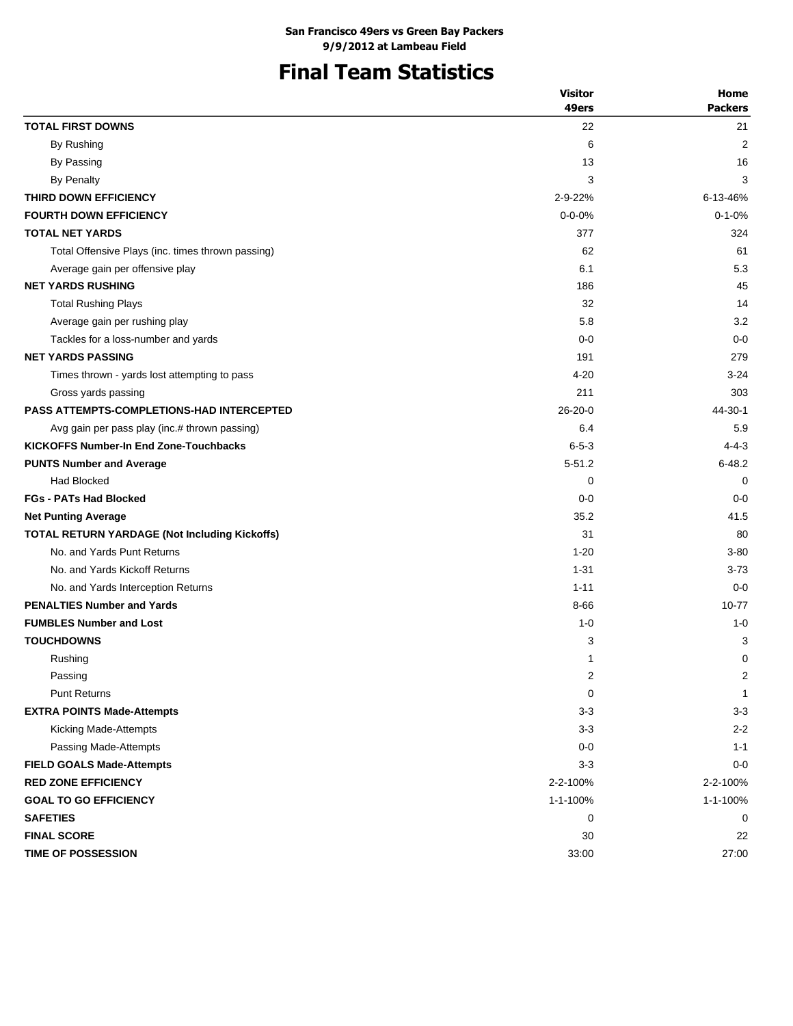# **Final Team Statistics**

|                                                   | <b>Visitor</b> | Home           |
|---------------------------------------------------|----------------|----------------|
|                                                   | 49ers          | <b>Packers</b> |
| <b>TOTAL FIRST DOWNS</b>                          | 22             | 21             |
| By Rushing                                        | 6              | $\overline{2}$ |
| By Passing                                        | 13             | 16             |
| By Penalty                                        | 3              | 3              |
| THIRD DOWN EFFICIENCY                             | $2 - 9 - 22%$  | 6-13-46%       |
| <b>FOURTH DOWN EFFICIENCY</b>                     | $0 - 0 - 0%$   | $0 - 1 - 0%$   |
| <b>TOTAL NET YARDS</b>                            | 377            | 324            |
| Total Offensive Plays (inc. times thrown passing) | 62             | 61             |
| Average gain per offensive play                   | 6.1            | 5.3            |
| <b>NET YARDS RUSHING</b>                          | 186            | 45             |
| <b>Total Rushing Plays</b>                        | 32             | 14             |
| Average gain per rushing play                     | 5.8            | 3.2            |
| Tackles for a loss-number and yards               | $0 - 0$        | $0 - 0$        |
| <b>NET YARDS PASSING</b>                          | 191            | 279            |
| Times thrown - yards lost attempting to pass      | 4-20           | $3 - 24$       |
| Gross yards passing                               | 211            | 303            |
| <b>PASS ATTEMPTS-COMPLETIONS-HAD INTERCEPTED</b>  | $26 - 20 - 0$  | 44-30-1        |
| Avg gain per pass play (inc.# thrown passing)     | 6.4            | 5.9            |
| <b>KICKOFFS Number-In End Zone-Touchbacks</b>     | $6 - 5 - 3$    | $4 - 4 - 3$    |
| <b>PUNTS Number and Average</b>                   | $5 - 51.2$     | $6 - 48.2$     |
| <b>Had Blocked</b>                                | 0              | 0              |
| <b>FGs - PATs Had Blocked</b>                     | $0 - 0$        | $0 - 0$        |
| <b>Net Punting Average</b>                        | 35.2           | 41.5           |
| TOTAL RETURN YARDAGE (Not Including Kickoffs)     | 31             | 80             |
| No. and Yards Punt Returns                        | $1 - 20$       | $3 - 80$       |
| No. and Yards Kickoff Returns                     | $1 - 31$       | $3 - 73$       |
| No. and Yards Interception Returns                | $1 - 11$       | $0 - 0$        |
| <b>PENALTIES Number and Yards</b>                 | $8 - 66$       | $10 - 77$      |
| <b>FUMBLES Number and Lost</b>                    | $1 - 0$        | $1 - 0$        |
| <b>TOUCHDOWNS</b>                                 | 3              | 3              |
| Rushing                                           | 1              | 0              |
| Passing                                           | 2              | 2              |
| <b>Punt Returns</b>                               | 0              | $\mathbf{1}$   |
| <b>EXTRA POINTS Made-Attempts</b>                 | $3 - 3$        | $3 - 3$        |
| Kicking Made-Attempts                             | $3-3$          | $2 - 2$        |
| Passing Made-Attempts                             | $0-0$          | $1 - 1$        |
| <b>FIELD GOALS Made-Attempts</b>                  | $3 - 3$        | $0-0$          |
| <b>RED ZONE EFFICIENCY</b>                        | 2-2-100%       | 2-2-100%       |
| <b>GOAL TO GO EFFICIENCY</b>                      | 1-1-100%       | 1-1-100%       |
| <b>SAFETIES</b>                                   | 0              | 0              |
| <b>FINAL SCORE</b>                                | 30             | 22             |
| <b>TIME OF POSSESSION</b>                         | 33:00          | 27:00          |
|                                                   |                |                |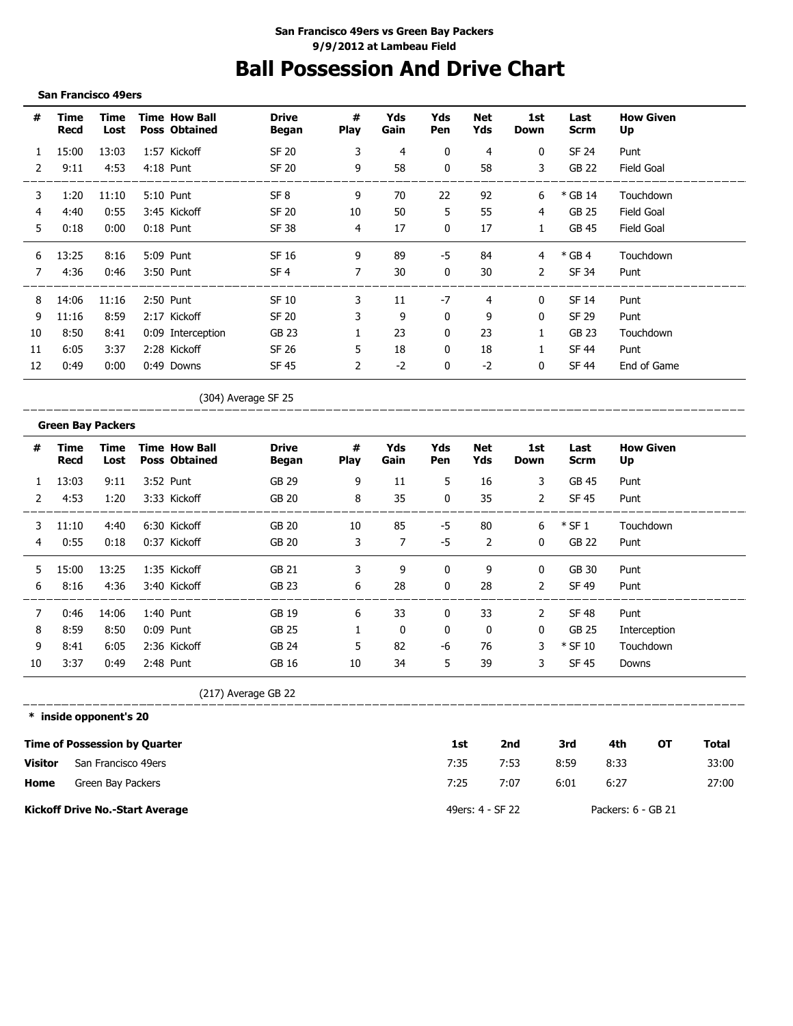## **Ball Possession And Drive Chart**

**San Francisco 49ers**

| #           | Time<br>Recd | Time<br>Lost | <b>Time How Ball</b><br><b>Poss Obtained</b> | <b>Drive</b><br>Began | #<br><b>Play</b> | Yds<br>Gain    | Yds<br>Pen | <b>Net</b><br>Yds | 1st<br>Down    | Last<br><b>Scrm</b> | <b>How Given</b><br>Up |
|-------------|--------------|--------------|----------------------------------------------|-----------------------|------------------|----------------|------------|-------------------|----------------|---------------------|------------------------|
|             | 15:00        | 13:03        | 1:57 Kickoff                                 | <b>SF 20</b>          | 3                | $\overline{4}$ | 0          | $\overline{4}$    | $\mathbf{0}$   | SF 24               | Punt                   |
| 2           | 9:11         | 4:53         | $4:18$ Punt                                  | <b>SF 20</b>          | 9                | 58             | 0          | 58                | 3              | <b>GB 22</b>        | Field Goal             |
| 3           | 1:20         | 11:10        | 5:10 Punt                                    | SF <sub>8</sub>       | 9                | 70             | 22         | 92                | 6              | * GB 14             | Touchdown              |
| 4           | 4:40         | 0:55         | 3:45 Kickoff                                 | SF 20                 | 10               | 50             | 5.         | 55                | 4              | GB 25               | Field Goal             |
| 5           | 0:18         | 0:00         | $0:18$ Punt                                  | <b>SF 38</b>          | 4                | 17             | 0          | 17                | $\mathbf{1}$   | GB 45               | Field Goal             |
| 6           | 13:25        | 8:16         | 5:09 Punt                                    | SF 16                 | 9                | 89             | -5         | 84                | 4              | $*$ GB 4            | Touchdown              |
| $7^{\circ}$ | 4:36         | 0:46         | 3:50 Punt                                    | SF <sub>4</sub>       |                  | 30             | 0          | 30                | $\overline{2}$ | SF 34               | Punt                   |
| 8           | 14:06        | 11:16        | 2:50 Punt                                    | <b>SF 10</b>          | 3                | 11             | $-7$       | 4                 | 0              | SF 14               | Punt                   |
| 9           | 11:16        | 8:59         | 2:17 Kickoff                                 | SF 20                 | 3                | 9              | 0          | 9                 | 0              | SF 29               | Punt                   |
| 10          | 8:50         | 8:41         | 0:09 Interception                            | <b>GB 23</b>          |                  | 23             | 0          | 23                | $\mathbf{1}$   | <b>GB 23</b>        | Touchdown              |
| 11          | 6:05         | 3:37         | 2:28 Kickoff                                 | SF 26                 | 5                | 18             | 0          | 18                | $\mathbf{1}$   | <b>SF 44</b>        | Punt                   |
| 12          | 0:49         | 0:00         | 0:49 Downs                                   | SF 45                 | 2                | $-2$           | 0          | $-2$              | 0              | <b>SF 44</b>        | End of Game            |

(304) Average SF 25 \_\_\_\_\_\_\_\_\_\_\_\_\_\_\_\_\_\_\_\_\_\_\_

#### **Green Bay Packers**

| #            | Time<br>Recd | Time<br>Lost | <b>Time How Ball</b><br><b>Poss Obtained</b> | <b>Drive</b><br>Began | #<br><b>Play</b> | Yds<br>Gain | Yds<br>Pen   | Net<br>Yds | 1st<br>Down    | Last<br><b>Scrm</b> | <b>How Given</b><br>Up |
|--------------|--------------|--------------|----------------------------------------------|-----------------------|------------------|-------------|--------------|------------|----------------|---------------------|------------------------|
| $\mathbf{1}$ | 13:03        | 9:11         | 3:52 Punt                                    | GB 29                 | 9                | 11          | 5.           | 16         | 3              | GB 45               | Punt                   |
| 2            | 4:53         | 1:20         | 3:33 Kickoff                                 | GB 20                 | 8                | 35          | 0            | 35         | $\overline{2}$ | <b>SF 45</b>        | Punt                   |
| 3            | 11:10        | 4:40         | 6:30 Kickoff                                 | GB 20                 | 10               | 85          | -5           | 80         | 6              | $*$ SF 1            | Touchdown              |
| 4            | 0:55         | 0:18         | 0:37 Kickoff                                 | GB 20                 | 3                | 7           | -5           | 2          | $\mathbf{0}$   | <b>GB 22</b>        | Punt                   |
| .5.          | 15:00        | 13:25        | 1:35 Kickoff                                 | <b>GB 21</b>          | 3                | 9           | $\mathbf{0}$ | 9          | $\mathbf{0}$   | GB 30               | Punt                   |
| 6            | 8:16         | 4:36         | 3:40 Kickoff                                 | GB 23                 | 6                | 28          | $\mathbf{0}$ | 28         | $\overline{2}$ | SF 49               | Punt                   |
| 7            | 0:46         | 14:06        | $1:40$ Punt                                  | GB 19                 | 6                | 33          | $\mathbf{0}$ | 33         | 2              | SF 48               | Punt                   |
| 8            | 8:59         | 8:50         | $0:09$ Punt                                  | GB 25                 |                  | 0           | 0            | 0          | 0              | GB 25               | Interception           |
| 9            | 8:41         | 6:05         | 2:36 Kickoff                                 | GB 24                 | 5                | 82          | -6           | 76         | 3              | $*$ SF 10           | Touchdown              |
| 10           | 3:37         | 0:49         | $2:48$ Punt                                  | GB 16                 | 10               | 34          | 5            | 39         | 3              | <b>SF 45</b>        | Downs                  |

\_\_\_\_\_\_\_\_\_\_\_

-----------------------

\_\_\_\_\_\_\_\_\_\_\_\_\_

(217) Average GB 22

|                                                                        | * inside opponent's 20                 |      |                  |      |                    |    |       |
|------------------------------------------------------------------------|----------------------------------------|------|------------------|------|--------------------|----|-------|
|                                                                        |                                        | 1st  | 2nd              | 3rd  | 4th                | OТ | Total |
| <b>Time of Possession by Quarter</b><br>Visitor<br>San Francisco 49ers |                                        | 7:35 | 7:53             | 8:59 | 8:33               |    | 33:00 |
| Home                                                                   | Green Bay Packers                      | 7:25 | 7:07             | 6:01 | 6:27               |    | 27:00 |
|                                                                        | <b>Kickoff Drive No.-Start Average</b> |      | 49ers: 4 - SF 22 |      | Packers: 6 - GB 21 |    |       |

\_\_\_\_\_\_\_\_\_\_\_\_\_\_\_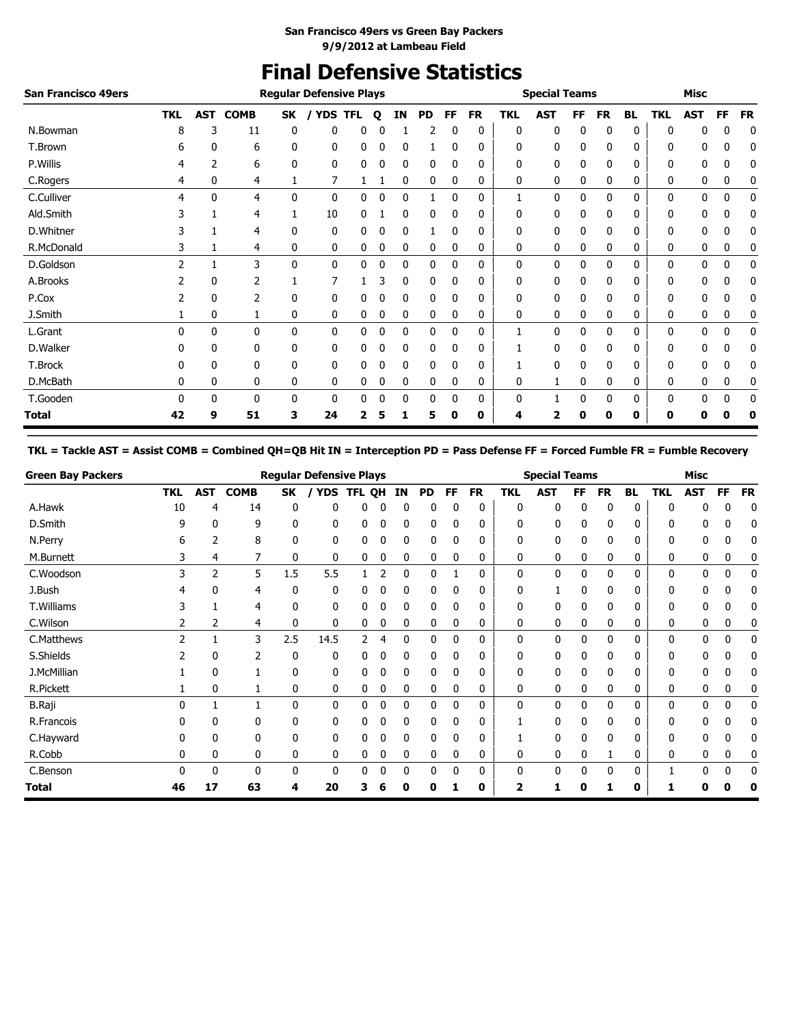## **Final Defensive Statistics**

| <b>San Francisco 49ers</b> |                |            |              |              | <b>Regular Defensive Plays</b> |            |   |    |           |              |           |            | <b>Special Teams</b> |    |           |           |            | <b>Misc</b> |           |           |
|----------------------------|----------------|------------|--------------|--------------|--------------------------------|------------|---|----|-----------|--------------|-----------|------------|----------------------|----|-----------|-----------|------------|-------------|-----------|-----------|
|                            | <b>TKL</b>     | <b>AST</b> | <b>COMB</b>  | SK           | <b>YDS</b>                     | <b>TFL</b> | Q | IN | <b>PD</b> | <b>FF</b>    | <b>FR</b> | <b>TKL</b> | <b>AST</b>           | FF | <b>FR</b> | <b>BL</b> | <b>TKL</b> | <b>AST</b>  | <b>FF</b> | <b>FR</b> |
| N.Bowman                   | 8              | 3          | 11           | 0            | 0                              | 0          | ი |    |           | 0            | 0         | 0          | 0                    | 0  | 0         | 0         | 0          | 0           | 0         | 0         |
| T.Brown                    | 6              | 0          | 6            | 0            | 0                              | 0          | 0 | 0  |           | 0            | 0         | 0          | 0                    | 0  | 0         | 0         | 0          | 0           | 0         | 0         |
| P.Willis                   |                |            | 6            | 0            | 0                              | 0          |   | 0  | 0         |              | 0         | 0          | 0                    | 0  | 0         | 0         | 0          | 0           | 0         | 0         |
| C.Rogers                   | 4              | 0          | 4            |              | 7                              | 1          |   | 0  | 0         | 0            | 0         | 0          | 0                    | 0  | 0         | 0         | 0          | 0           | 0         | 0         |
| C.Culliver                 | 4              | 0          | 4            | 0            | 0                              | 0          | 0 | 0  | 1         | 0            | 0         | 1          | 0                    | 0  | 0         | 0         | 0          | 0           | 0         | 0         |
| Ald.Smith                  |                |            | 4            |              | 10                             | 0          |   | 0  | 0         | $\mathbf{0}$ | 0         | 0          | 0                    | 0  | 0         | 0         | 0          | 0           | 0         | 0         |
| D.Whitner                  |                |            | 4            | 0            | 0                              | 0          | 0 | 0  |           | 0            | 0         | 0          | 0                    | 0  | 0         | 0         | 0          | 0           | 0         | 0         |
| R.McDonald                 | 3              |            | 4            | 0            | 0                              | 0          | 0 | 0  | 0         | 0            | 0         | 0          | 0                    | 0  | 0         | 0         | 0          | 0           | 0         | 0         |
| D.Goldson                  | $\overline{2}$ |            | 3            | 0            | 0                              | 0          | 0 | 0  | 0         | 0            | 0         | 0          | 0                    | 0  | 0         | 0         | 0          | 0           | 0         | 0         |
| A.Brooks                   | 2              | 0          | 2            |              | 7                              |            | 3 | 0  | 0         | 0            | 0         | 0          | 0                    | 0  | 0         | 0         | 0          | 0           | 0         | 0         |
| P.Cox                      |                | 0          | 2            | 0            | 0                              | 0          | 0 | 0  | 0         | $\mathbf{0}$ | 0         | 0          | 0                    | 0  | 0         | 0         | 0          | 0           | 0         | 0         |
| J.Smith                    |                | 0          |              | 0            | 0                              | 0          | 0 | 0  | 0         | 0            | 0         | 0          | 0                    | 0  | 0         | 0         | 0          | 0           | 0         | 0         |
| L.Grant                    | U              | 0          | 0            | 0            | 0                              | 0          | 0 | 0  | 0         | 0            | 0         |            | 0                    | 0  | 0         | 0         | 0          | 0           | 0         | 0         |
| D.Walker                   |                | 0          | 0            | 0            | 0                              | 0          | 0 | 0  | 0         | 0            | 0         |            | 0                    | 0  | 0         | 0         | 0          | 0           | 0         | 0         |
| T.Brock                    |                | 0          | 0            | 0            | 0                              | 0          | 0 | 0  | 0         | 0            | 0         |            | 0                    | 0  | 0         | 0         | 0          | 0           | 0         | 0         |
| D.McBath                   | 0              | 0          | 0            | 0            | 0                              | 0          | 0 | 0  | 0         | 0            | 0         | 0          |                      | 0  | 0         | 0         | 0          | 0           | 0         | 0         |
| T.Gooden                   | 0              | 0          | $\mathbf{0}$ | $\mathbf{0}$ | 0                              | 0          | 0 | 0  | 0         | 0            | 0         | 0          |                      | 0  | 0         | 0         | 0          | 0           | 0         | 0         |
| <b>Total</b>               | 42             | 9          | 51           | з            | 24                             |            |   |    | 5         | 0            | 0         | 4          |                      | 0  | 0         | 0         | 0          | O           |           |           |

**TKL = Tackle AST = Assist COMB = Combined QH=QB Hit IN = Interception PD = Pass Defense FF = Forced Fumble FR = Fumble Recovery**

| <b>Green Bay Packers</b> |               |            |             |              | <b>Regular Defensive Plays</b> |               |   |    |           |           |           |              | <b>Special Teams</b> |    |           |              |            | Misc       |           |           |
|--------------------------|---------------|------------|-------------|--------------|--------------------------------|---------------|---|----|-----------|-----------|-----------|--------------|----------------------|----|-----------|--------------|------------|------------|-----------|-----------|
|                          | <b>TKL</b>    | <b>AST</b> | <b>COMB</b> | SK           | <b>YDS</b>                     | <b>TFL QH</b> |   | IN | <b>PD</b> | <b>FF</b> | <b>FR</b> | <b>TKL</b>   | <b>AST</b>           | FF | <b>FR</b> | <b>BL</b>    | <b>TKL</b> | <b>AST</b> | <b>FF</b> | <b>FR</b> |
| A.Hawk                   | 10            | 4          | 14          | 0            | 0                              | 0             | 0 | 0  | 0         | 0         | 0         | 0            | $\mathbf 0$          | 0  | 0         | 0            | 0          | 0          | 0         | 0         |
| D.Smith                  | 9             | 0          | 9           | 0            | 0                              | 0             | 0 | 0  | 0         | 0         | 0         | 0            | 0                    | 0  | 0         | 0            | 0          | 0          | 0         | 0         |
| N.Perry                  | 6             | 2          | 8           | 0            | 0                              | 0             | 0 | 0  | 0         | 0         | 0         | 0            | 0                    | 0  | 0         | 0            | 0          | 0          | 0         | 0         |
| M.Burnett                | 3             | 4          |             | 0            | 0                              | 0             | 0 | 0  | 0         | 0         | 0         | 0            | 0                    | 0  | 0         | 0            | 0          | 0          | 0         | 0         |
| C.Woodson                | 3             | 2          | 5           | 1.5          | 5.5                            |               | 2 | 0  | 0         |           | 0         | 0            | 0                    | 0  | 0         | $\mathbf{0}$ | 0          | 0          | 0         | 0         |
| J.Bush                   |               | 0          | 4           | 0            | 0                              |               |   | 0  | 0         |           | 0         | 0            |                      |    | 0         | 0            | 0          | 0          |           | O         |
| T.Williams               |               |            | 4           | 0            | 0                              | 0             | 0 | 0  | 0         | 0         | 0         | 0            | 0                    | 0  | 0         | 0            | 0          | 0          | 0         | 0         |
| C.Wilson                 |               | 2          | 4           | 0            | 0                              | 0             | 0 | 0  | 0         | 0         | 0         | 0            | 0                    | 0  | 0         | 0            | 0          | 0          | 0         | 0         |
| C.Matthews               | $\mathcal{P}$ |            | 3           | 2.5          | 14.5                           | 2             | 4 | 0  | 0         | 0         | 0         | 0            | 0                    | 0  | 0         | 0            | 0          | 0          | 0         | 0         |
| S.Shields                |               | 0          | 2           | 0            | 0                              | 0             | 0 | 0  | 0         | 0         | 0         | 0            | 0                    | 0  | 0         | $\Omega$     | 0          | 0          | 0         | 0         |
| J.McMillian              |               | 0          |             | 0            | 0                              | 0             | 0 | 0  | 0         | 0         | 0         | 0            | 0                    | 0  | 0         | 0            | 0          | 0          | 0         | 0         |
| R.Pickett                |               | 0          |             | 0            | 0                              | 0             | 0 | 0  | 0         | 0         | 0         | 0            | $\mathbf 0$          | 0  | 0         | 0            | 0          | 0          | 0         |           |
| B.Raji                   | U             |            |             | $\mathbf{0}$ | $\mathbf{0}$                   | 0             | 0 | 0  | 0         |           | 0         | $\mathbf{0}$ | 0                    | 0  | 0         | $\mathbf{0}$ | 0          | 0          | 0         | 0         |
| R.Francois               |               | 0          | 0           | 0            | 0                              | 0             | 0 | 0  | 0         |           | 0         |              | 0                    | ŋ  | 0         | 0            | 0          | 0          | 0         | 0         |
| C.Hayward                |               | 0          | $\Omega$    | 0            | 0                              | 0             | 0 | 0  | 0         | 0         | 0         |              | 0                    | 0  | 0         | 0            | 0          | 0          | 0         | 0         |
| R.Cobb                   | 0             | 0          | 0           | 0            | 0                              | 0             | 0 | 0  | 0         | 0         | 0         | 0            | 0                    | 0  |           | 0            | 0          | 0          | 0         |           |
| C.Benson                 | 0             | 0          | 0           | $\mathbf{0}$ | 0                              | 0             | 0 | 0  | 0         | 0         | 0         | 0            | 0                    | 0  | 0         | $\mathbf{0}$ |            | 0          | 0         | 0         |
| <b>Total</b>             | 46            | 17         | 63          | 4            | 20                             | 3             | 6 | 0  | 0         |           | 0         | 2            |                      | O  |           | 0            |            | Ω          |           | 0         |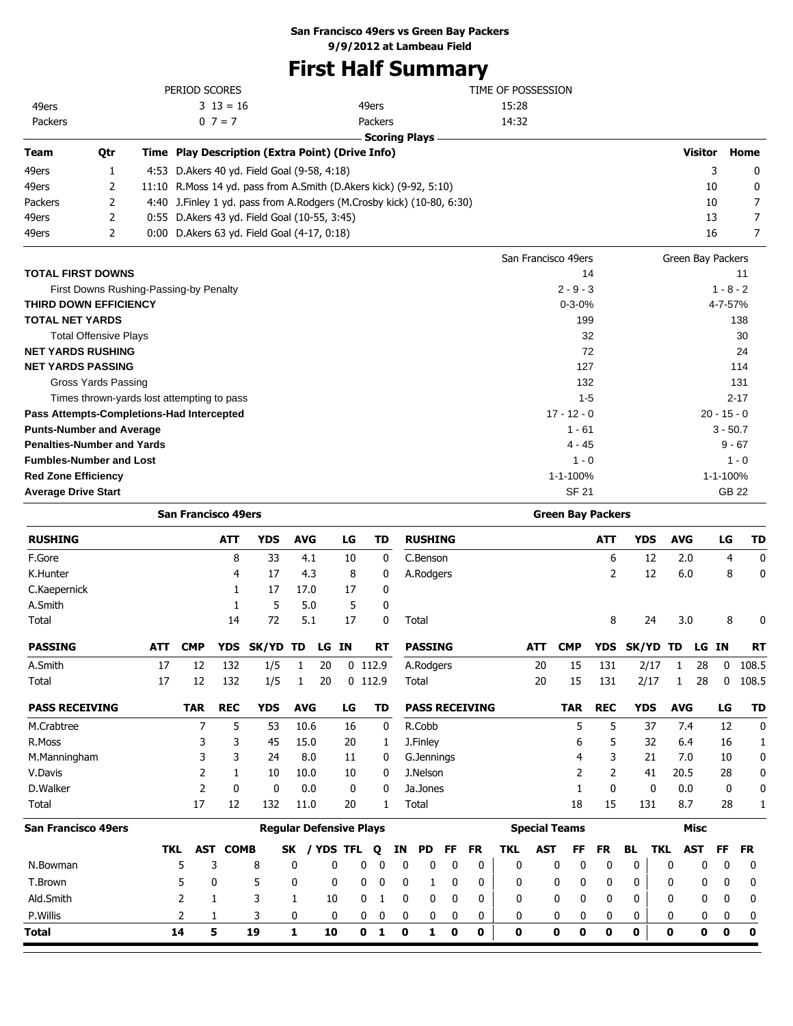### **First Half Summary**

| $3 \t13 = 16$<br>15:28<br>49ers<br>49ers<br>Packers<br>$0 \t7 = 7$<br>Packers<br>14:32<br><b>Scoring Plays -</b><br><b>Visitor</b><br>Home<br>Qtr<br>Time Play Description (Extra Point) (Drive Info)<br>3<br>4:53 D.Akers 40 yd. Field Goal (9-58, 4:18)<br>1<br>0<br>11:10 R.Moss 14 yd. pass from A.Smith (D.Akers kick) (9-92, 5:10)<br>2<br>10<br>0<br>4:40 J.Finley 1 yd. pass from A.Rodgers (M.Crosby kick) (10-80, 6:30)<br>2<br>10<br>7<br>0:55 D.Akers 43 yd. Field Goal (10-55, 3:45)<br>7<br>2<br>13<br>$\overline{2}$<br>0:00 D.Akers 63 yd. Field Goal (4-17, 0:18)<br>7<br>16<br>San Francisco 49ers<br>Green Bay Packers<br><b>TOTAL FIRST DOWNS</b><br>11<br>14<br>First Downs Rushing-Passing-by Penalty<br>$2 - 9 - 3$<br>$1 - 8 - 2$<br>THIRD DOWN EFFICIENCY<br>$0 - 3 - 0%$<br>4-7-57%<br>199<br>138<br><b>Total Offensive Plays</b><br>32<br>30<br>72<br>24<br>127<br>114<br><b>Gross Yards Passing</b><br>132<br>131<br>Times thrown-yards lost attempting to pass<br>$1 - 5$<br>$2 - 17$<br>$17 - 12 - 0$<br>$20 - 15 - 0$<br>Pass Attempts-Completions-Had Intercepted<br><b>Punts-Number and Average</b><br>$1 - 61$<br>$3 - 50.7$<br><b>Penalties-Number and Yards</b><br>4 - 45<br>9 - 67<br><b>Fumbles-Number and Lost</b><br>$1 - 0$<br>$1 - 0$<br>1-1-100%<br>1-1-100%<br><b>SF 21</b><br><b>GB 22</b><br><b>San Francisco 49ers</b><br><b>Green Bay Packers</b><br><b>RUSHING</b><br><b>YDS</b><br><b>AVG</b><br><b>RUSHING</b><br><b>AVG</b><br>ATT<br>LG<br>TD<br>ATT<br><b>YDS</b><br>LG<br>TD<br>F.Gore<br>33<br>C.Benson<br>6<br>12<br>8<br>4.1<br>10<br>0<br>2.0<br>4<br>0<br>2<br>12<br>K.Hunter<br>17<br>4.3<br>8<br>A.Rodgers<br>6.0<br>8<br>0<br>4<br>0<br>17.0<br>C.Kaepernick<br>17<br>17<br>0<br>1<br>A.Smith<br>5<br>5.0<br>5<br>1<br>0<br>72<br>5.1<br>Total<br>14<br>17<br>0<br>8<br>3.0<br>8<br>Total<br>24<br>0<br><b>PASSING</b><br><b>PASSING</b><br>YDS SK/YD TD LG IN<br>RT<br>YDS SK/YD TD LG IN<br>ATT<br><b>CMP</b><br>ATT<br>CMP<br>RT<br>A.Smith<br>132<br>2/17<br>1/5<br>131<br>1/<br>12<br>1<br>20<br>0<br>112.9<br>A.Rodgers<br>20<br>15<br>1<br>28<br>0<br>108.5<br>12<br>132<br>17<br>1/5<br>20<br>$0$ 112.9<br>20<br>15<br>131<br>2/17<br>28<br>0<br>108.5<br>Total<br>1<br>Total<br>1<br><b>PASS RECEIVING</b><br><b>TAR</b><br><b>REC</b><br><b>YDS</b><br><b>AVG</b><br><b>PASS RECEIVING</b><br><b>TAR</b><br><b>REC</b><br><b>YDS</b><br><b>AVG</b><br>TD<br>LG<br>TD<br>LG<br>5<br>5<br>5<br>7<br>53<br>10.6<br>16<br>0<br>R.Cobb<br>0<br>M.Crabtree<br>37<br>7.4<br>12<br>3<br>5<br>R.Moss<br>3<br>45<br>15.0<br>20<br>J.Finley<br>6<br>6.4<br>16<br>32<br>1<br>1<br>3<br>M.Manningham<br>3<br>3<br>8.0<br>G.Jennings<br>7.0<br>24<br>11<br>4<br>21<br>10<br>0<br>0<br>2<br>1<br>10.0<br>J.Nelson<br>2<br>2<br>20.5<br>10<br>10<br>41<br>28<br>0<br>0<br>D.Walker<br>2<br>0<br>0<br>0.0<br>0<br>Ja.Jones<br>0<br>0<br>0.0<br>0<br>1<br>0<br>17<br>11.0<br>15<br>Total<br>12<br>132<br>20<br>Total<br>18<br>8.7<br>28<br>1<br>131<br>1<br><b>Special Teams</b><br><b>Regular Defensive Plays</b><br><b>Misc</b><br><b>AST COMB</b><br>SK / YDS TFL<br><b>AST</b><br>TKL<br><b>FR</b><br>TKL<br><b>AST</b><br>FF<br><b>FR</b><br>BL<br><b>TKL</b><br>FF<br>ΙN<br><b>PD</b><br>FF<br>FR.<br>Q<br>5<br>3<br>0<br>0<br>N.Bowman<br>8<br>0<br>0<br>0<br>0<br>0<br>0<br>0<br>0<br>0<br>0<br>0<br>0<br>0<br>0<br>0<br>5<br>5<br>0<br>0<br>0<br>0<br>0<br>T.Brown<br>0<br>1<br>0<br>0<br>0<br>0<br>0<br>0<br>0<br>0<br>0<br>0<br>0<br>Ald.Smith<br>3<br>2<br>10<br>0<br>0<br>0<br>1<br>1<br>1<br>0<br>0<br>0<br>0<br>0<br>0<br>0<br>0<br>0<br>0<br>0<br>P.Willis<br>2<br>3<br>0<br>0<br>0<br>1<br>0<br>0<br>0<br>0<br>0<br>0<br>0<br>0<br>0<br>0<br>0<br>0<br>0<br>0<br>14<br>5<br>$\mathbf{1}$<br>$\mathbf 0$<br>0<br>$\mathbf 0$<br>10<br>$\mathbf{0}$<br>$\mathbf 0$ |                            | PERIOD SCORES |    |  |   |             |              |   | TIME OF POSSESSION |           |   |             |   |           |
|------------------------------------------------------------------------------------------------------------------------------------------------------------------------------------------------------------------------------------------------------------------------------------------------------------------------------------------------------------------------------------------------------------------------------------------------------------------------------------------------------------------------------------------------------------------------------------------------------------------------------------------------------------------------------------------------------------------------------------------------------------------------------------------------------------------------------------------------------------------------------------------------------------------------------------------------------------------------------------------------------------------------------------------------------------------------------------------------------------------------------------------------------------------------------------------------------------------------------------------------------------------------------------------------------------------------------------------------------------------------------------------------------------------------------------------------------------------------------------------------------------------------------------------------------------------------------------------------------------------------------------------------------------------------------------------------------------------------------------------------------------------------------------------------------------------------------------------------------------------------------------------------------------------------------------------------------------------------------------------------------------------------------------------------------------------------------------------------------------------------------------------------------------------------------------------------------------------------------------------------------------------------------------------------------------------------------------------------------------------------------------------------------------------------------------------------------------------------------------------------------------------------------------------------------------------------------------------------------------------------------------------------------------------------------------------------------------------------------------------------------------------------------------------------------------------------------------------------------------------------------------------------------------------------------------------------------------------------------------------------------------------------------------------------------------------------------------------------------------------------------------------------------------------------------------------------------------------------------------------------------------------------------------------------------------------------------------------------------------------------------------------------------------------------------------------------------------------------------------------------------------------------------------------------------------------------------------------------------------------------------------------------------------------------------------------------------------------------------------------------------------------------------------------------------------------------------------------|----------------------------|---------------|----|--|---|-------------|--------------|---|--------------------|-----------|---|-------------|---|-----------|
|                                                                                                                                                                                                                                                                                                                                                                                                                                                                                                                                                                                                                                                                                                                                                                                                                                                                                                                                                                                                                                                                                                                                                                                                                                                                                                                                                                                                                                                                                                                                                                                                                                                                                                                                                                                                                                                                                                                                                                                                                                                                                                                                                                                                                                                                                                                                                                                                                                                                                                                                                                                                                                                                                                                                                                                                                                                                                                                                                                                                                                                                                                                                                                                                                                                                                                                                                                                                                                                                                                                                                                                                                                                                                                                                                                                                                                          |                            |               |    |  |   |             |              |   |                    |           |   |             |   |           |
|                                                                                                                                                                                                                                                                                                                                                                                                                                                                                                                                                                                                                                                                                                                                                                                                                                                                                                                                                                                                                                                                                                                                                                                                                                                                                                                                                                                                                                                                                                                                                                                                                                                                                                                                                                                                                                                                                                                                                                                                                                                                                                                                                                                                                                                                                                                                                                                                                                                                                                                                                                                                                                                                                                                                                                                                                                                                                                                                                                                                                                                                                                                                                                                                                                                                                                                                                                                                                                                                                                                                                                                                                                                                                                                                                                                                                                          |                            |               |    |  |   |             |              |   |                    |           |   |             |   |           |
|                                                                                                                                                                                                                                                                                                                                                                                                                                                                                                                                                                                                                                                                                                                                                                                                                                                                                                                                                                                                                                                                                                                                                                                                                                                                                                                                                                                                                                                                                                                                                                                                                                                                                                                                                                                                                                                                                                                                                                                                                                                                                                                                                                                                                                                                                                                                                                                                                                                                                                                                                                                                                                                                                                                                                                                                                                                                                                                                                                                                                                                                                                                                                                                                                                                                                                                                                                                                                                                                                                                                                                                                                                                                                                                                                                                                                                          |                            |               |    |  |   |             |              |   |                    |           |   |             |   |           |
|                                                                                                                                                                                                                                                                                                                                                                                                                                                                                                                                                                                                                                                                                                                                                                                                                                                                                                                                                                                                                                                                                                                                                                                                                                                                                                                                                                                                                                                                                                                                                                                                                                                                                                                                                                                                                                                                                                                                                                                                                                                                                                                                                                                                                                                                                                                                                                                                                                                                                                                                                                                                                                                                                                                                                                                                                                                                                                                                                                                                                                                                                                                                                                                                                                                                                                                                                                                                                                                                                                                                                                                                                                                                                                                                                                                                                                          | Team                       |               |    |  |   |             |              |   |                    |           |   |             |   |           |
|                                                                                                                                                                                                                                                                                                                                                                                                                                                                                                                                                                                                                                                                                                                                                                                                                                                                                                                                                                                                                                                                                                                                                                                                                                                                                                                                                                                                                                                                                                                                                                                                                                                                                                                                                                                                                                                                                                                                                                                                                                                                                                                                                                                                                                                                                                                                                                                                                                                                                                                                                                                                                                                                                                                                                                                                                                                                                                                                                                                                                                                                                                                                                                                                                                                                                                                                                                                                                                                                                                                                                                                                                                                                                                                                                                                                                                          | 49ers                      |               |    |  |   |             |              |   |                    |           |   |             |   |           |
|                                                                                                                                                                                                                                                                                                                                                                                                                                                                                                                                                                                                                                                                                                                                                                                                                                                                                                                                                                                                                                                                                                                                                                                                                                                                                                                                                                                                                                                                                                                                                                                                                                                                                                                                                                                                                                                                                                                                                                                                                                                                                                                                                                                                                                                                                                                                                                                                                                                                                                                                                                                                                                                                                                                                                                                                                                                                                                                                                                                                                                                                                                                                                                                                                                                                                                                                                                                                                                                                                                                                                                                                                                                                                                                                                                                                                                          | 49ers                      |               |    |  |   |             |              |   |                    |           |   |             |   |           |
|                                                                                                                                                                                                                                                                                                                                                                                                                                                                                                                                                                                                                                                                                                                                                                                                                                                                                                                                                                                                                                                                                                                                                                                                                                                                                                                                                                                                                                                                                                                                                                                                                                                                                                                                                                                                                                                                                                                                                                                                                                                                                                                                                                                                                                                                                                                                                                                                                                                                                                                                                                                                                                                                                                                                                                                                                                                                                                                                                                                                                                                                                                                                                                                                                                                                                                                                                                                                                                                                                                                                                                                                                                                                                                                                                                                                                                          | Packers                    |               |    |  |   |             |              |   |                    |           |   |             |   |           |
|                                                                                                                                                                                                                                                                                                                                                                                                                                                                                                                                                                                                                                                                                                                                                                                                                                                                                                                                                                                                                                                                                                                                                                                                                                                                                                                                                                                                                                                                                                                                                                                                                                                                                                                                                                                                                                                                                                                                                                                                                                                                                                                                                                                                                                                                                                                                                                                                                                                                                                                                                                                                                                                                                                                                                                                                                                                                                                                                                                                                                                                                                                                                                                                                                                                                                                                                                                                                                                                                                                                                                                                                                                                                                                                                                                                                                                          | 49ers                      |               |    |  |   |             |              |   |                    |           |   |             |   |           |
|                                                                                                                                                                                                                                                                                                                                                                                                                                                                                                                                                                                                                                                                                                                                                                                                                                                                                                                                                                                                                                                                                                                                                                                                                                                                                                                                                                                                                                                                                                                                                                                                                                                                                                                                                                                                                                                                                                                                                                                                                                                                                                                                                                                                                                                                                                                                                                                                                                                                                                                                                                                                                                                                                                                                                                                                                                                                                                                                                                                                                                                                                                                                                                                                                                                                                                                                                                                                                                                                                                                                                                                                                                                                                                                                                                                                                                          | 49ers                      |               |    |  |   |             |              |   |                    |           |   |             |   |           |
|                                                                                                                                                                                                                                                                                                                                                                                                                                                                                                                                                                                                                                                                                                                                                                                                                                                                                                                                                                                                                                                                                                                                                                                                                                                                                                                                                                                                                                                                                                                                                                                                                                                                                                                                                                                                                                                                                                                                                                                                                                                                                                                                                                                                                                                                                                                                                                                                                                                                                                                                                                                                                                                                                                                                                                                                                                                                                                                                                                                                                                                                                                                                                                                                                                                                                                                                                                                                                                                                                                                                                                                                                                                                                                                                                                                                                                          |                            |               |    |  |   |             |              |   |                    |           |   |             |   |           |
|                                                                                                                                                                                                                                                                                                                                                                                                                                                                                                                                                                                                                                                                                                                                                                                                                                                                                                                                                                                                                                                                                                                                                                                                                                                                                                                                                                                                                                                                                                                                                                                                                                                                                                                                                                                                                                                                                                                                                                                                                                                                                                                                                                                                                                                                                                                                                                                                                                                                                                                                                                                                                                                                                                                                                                                                                                                                                                                                                                                                                                                                                                                                                                                                                                                                                                                                                                                                                                                                                                                                                                                                                                                                                                                                                                                                                                          |                            |               |    |  |   |             |              |   |                    |           |   |             |   |           |
|                                                                                                                                                                                                                                                                                                                                                                                                                                                                                                                                                                                                                                                                                                                                                                                                                                                                                                                                                                                                                                                                                                                                                                                                                                                                                                                                                                                                                                                                                                                                                                                                                                                                                                                                                                                                                                                                                                                                                                                                                                                                                                                                                                                                                                                                                                                                                                                                                                                                                                                                                                                                                                                                                                                                                                                                                                                                                                                                                                                                                                                                                                                                                                                                                                                                                                                                                                                                                                                                                                                                                                                                                                                                                                                                                                                                                                          |                            |               |    |  |   |             |              |   |                    |           |   |             |   |           |
|                                                                                                                                                                                                                                                                                                                                                                                                                                                                                                                                                                                                                                                                                                                                                                                                                                                                                                                                                                                                                                                                                                                                                                                                                                                                                                                                                                                                                                                                                                                                                                                                                                                                                                                                                                                                                                                                                                                                                                                                                                                                                                                                                                                                                                                                                                                                                                                                                                                                                                                                                                                                                                                                                                                                                                                                                                                                                                                                                                                                                                                                                                                                                                                                                                                                                                                                                                                                                                                                                                                                                                                                                                                                                                                                                                                                                                          |                            |               |    |  |   |             |              |   |                    |           |   |             |   |           |
|                                                                                                                                                                                                                                                                                                                                                                                                                                                                                                                                                                                                                                                                                                                                                                                                                                                                                                                                                                                                                                                                                                                                                                                                                                                                                                                                                                                                                                                                                                                                                                                                                                                                                                                                                                                                                                                                                                                                                                                                                                                                                                                                                                                                                                                                                                                                                                                                                                                                                                                                                                                                                                                                                                                                                                                                                                                                                                                                                                                                                                                                                                                                                                                                                                                                                                                                                                                                                                                                                                                                                                                                                                                                                                                                                                                                                                          | TOTAL NET YARDS            |               |    |  |   |             |              |   |                    |           |   |             |   |           |
|                                                                                                                                                                                                                                                                                                                                                                                                                                                                                                                                                                                                                                                                                                                                                                                                                                                                                                                                                                                                                                                                                                                                                                                                                                                                                                                                                                                                                                                                                                                                                                                                                                                                                                                                                                                                                                                                                                                                                                                                                                                                                                                                                                                                                                                                                                                                                                                                                                                                                                                                                                                                                                                                                                                                                                                                                                                                                                                                                                                                                                                                                                                                                                                                                                                                                                                                                                                                                                                                                                                                                                                                                                                                                                                                                                                                                                          |                            |               |    |  |   |             |              |   |                    |           |   |             |   |           |
|                                                                                                                                                                                                                                                                                                                                                                                                                                                                                                                                                                                                                                                                                                                                                                                                                                                                                                                                                                                                                                                                                                                                                                                                                                                                                                                                                                                                                                                                                                                                                                                                                                                                                                                                                                                                                                                                                                                                                                                                                                                                                                                                                                                                                                                                                                                                                                                                                                                                                                                                                                                                                                                                                                                                                                                                                                                                                                                                                                                                                                                                                                                                                                                                                                                                                                                                                                                                                                                                                                                                                                                                                                                                                                                                                                                                                                          | <b>NET YARDS RUSHING</b>   |               |    |  |   |             |              |   |                    |           |   |             |   |           |
|                                                                                                                                                                                                                                                                                                                                                                                                                                                                                                                                                                                                                                                                                                                                                                                                                                                                                                                                                                                                                                                                                                                                                                                                                                                                                                                                                                                                                                                                                                                                                                                                                                                                                                                                                                                                                                                                                                                                                                                                                                                                                                                                                                                                                                                                                                                                                                                                                                                                                                                                                                                                                                                                                                                                                                                                                                                                                                                                                                                                                                                                                                                                                                                                                                                                                                                                                                                                                                                                                                                                                                                                                                                                                                                                                                                                                                          | <b>NET YARDS PASSING</b>   |               |    |  |   |             |              |   |                    |           |   |             |   |           |
|                                                                                                                                                                                                                                                                                                                                                                                                                                                                                                                                                                                                                                                                                                                                                                                                                                                                                                                                                                                                                                                                                                                                                                                                                                                                                                                                                                                                                                                                                                                                                                                                                                                                                                                                                                                                                                                                                                                                                                                                                                                                                                                                                                                                                                                                                                                                                                                                                                                                                                                                                                                                                                                                                                                                                                                                                                                                                                                                                                                                                                                                                                                                                                                                                                                                                                                                                                                                                                                                                                                                                                                                                                                                                                                                                                                                                                          |                            |               |    |  |   |             |              |   |                    |           |   |             |   |           |
|                                                                                                                                                                                                                                                                                                                                                                                                                                                                                                                                                                                                                                                                                                                                                                                                                                                                                                                                                                                                                                                                                                                                                                                                                                                                                                                                                                                                                                                                                                                                                                                                                                                                                                                                                                                                                                                                                                                                                                                                                                                                                                                                                                                                                                                                                                                                                                                                                                                                                                                                                                                                                                                                                                                                                                                                                                                                                                                                                                                                                                                                                                                                                                                                                                                                                                                                                                                                                                                                                                                                                                                                                                                                                                                                                                                                                                          |                            |               |    |  |   |             |              |   |                    |           |   |             |   |           |
|                                                                                                                                                                                                                                                                                                                                                                                                                                                                                                                                                                                                                                                                                                                                                                                                                                                                                                                                                                                                                                                                                                                                                                                                                                                                                                                                                                                                                                                                                                                                                                                                                                                                                                                                                                                                                                                                                                                                                                                                                                                                                                                                                                                                                                                                                                                                                                                                                                                                                                                                                                                                                                                                                                                                                                                                                                                                                                                                                                                                                                                                                                                                                                                                                                                                                                                                                                                                                                                                                                                                                                                                                                                                                                                                                                                                                                          |                            |               |    |  |   |             |              |   |                    |           |   |             |   |           |
|                                                                                                                                                                                                                                                                                                                                                                                                                                                                                                                                                                                                                                                                                                                                                                                                                                                                                                                                                                                                                                                                                                                                                                                                                                                                                                                                                                                                                                                                                                                                                                                                                                                                                                                                                                                                                                                                                                                                                                                                                                                                                                                                                                                                                                                                                                                                                                                                                                                                                                                                                                                                                                                                                                                                                                                                                                                                                                                                                                                                                                                                                                                                                                                                                                                                                                                                                                                                                                                                                                                                                                                                                                                                                                                                                                                                                                          |                            |               |    |  |   |             |              |   |                    |           |   |             |   |           |
|                                                                                                                                                                                                                                                                                                                                                                                                                                                                                                                                                                                                                                                                                                                                                                                                                                                                                                                                                                                                                                                                                                                                                                                                                                                                                                                                                                                                                                                                                                                                                                                                                                                                                                                                                                                                                                                                                                                                                                                                                                                                                                                                                                                                                                                                                                                                                                                                                                                                                                                                                                                                                                                                                                                                                                                                                                                                                                                                                                                                                                                                                                                                                                                                                                                                                                                                                                                                                                                                                                                                                                                                                                                                                                                                                                                                                                          |                            |               |    |  |   |             |              |   |                    |           |   |             |   |           |
|                                                                                                                                                                                                                                                                                                                                                                                                                                                                                                                                                                                                                                                                                                                                                                                                                                                                                                                                                                                                                                                                                                                                                                                                                                                                                                                                                                                                                                                                                                                                                                                                                                                                                                                                                                                                                                                                                                                                                                                                                                                                                                                                                                                                                                                                                                                                                                                                                                                                                                                                                                                                                                                                                                                                                                                                                                                                                                                                                                                                                                                                                                                                                                                                                                                                                                                                                                                                                                                                                                                                                                                                                                                                                                                                                                                                                                          |                            |               |    |  |   |             |              |   |                    |           |   |             |   |           |
|                                                                                                                                                                                                                                                                                                                                                                                                                                                                                                                                                                                                                                                                                                                                                                                                                                                                                                                                                                                                                                                                                                                                                                                                                                                                                                                                                                                                                                                                                                                                                                                                                                                                                                                                                                                                                                                                                                                                                                                                                                                                                                                                                                                                                                                                                                                                                                                                                                                                                                                                                                                                                                                                                                                                                                                                                                                                                                                                                                                                                                                                                                                                                                                                                                                                                                                                                                                                                                                                                                                                                                                                                                                                                                                                                                                                                                          | <b>Red Zone Efficiency</b> |               |    |  |   |             |              |   |                    |           |   |             |   |           |
|                                                                                                                                                                                                                                                                                                                                                                                                                                                                                                                                                                                                                                                                                                                                                                                                                                                                                                                                                                                                                                                                                                                                                                                                                                                                                                                                                                                                                                                                                                                                                                                                                                                                                                                                                                                                                                                                                                                                                                                                                                                                                                                                                                                                                                                                                                                                                                                                                                                                                                                                                                                                                                                                                                                                                                                                                                                                                                                                                                                                                                                                                                                                                                                                                                                                                                                                                                                                                                                                                                                                                                                                                                                                                                                                                                                                                                          | <b>Average Drive Start</b> |               |    |  |   |             |              |   |                    |           |   |             |   |           |
|                                                                                                                                                                                                                                                                                                                                                                                                                                                                                                                                                                                                                                                                                                                                                                                                                                                                                                                                                                                                                                                                                                                                                                                                                                                                                                                                                                                                                                                                                                                                                                                                                                                                                                                                                                                                                                                                                                                                                                                                                                                                                                                                                                                                                                                                                                                                                                                                                                                                                                                                                                                                                                                                                                                                                                                                                                                                                                                                                                                                                                                                                                                                                                                                                                                                                                                                                                                                                                                                                                                                                                                                                                                                                                                                                                                                                                          |                            |               |    |  |   |             |              |   |                    |           |   |             |   |           |
|                                                                                                                                                                                                                                                                                                                                                                                                                                                                                                                                                                                                                                                                                                                                                                                                                                                                                                                                                                                                                                                                                                                                                                                                                                                                                                                                                                                                                                                                                                                                                                                                                                                                                                                                                                                                                                                                                                                                                                                                                                                                                                                                                                                                                                                                                                                                                                                                                                                                                                                                                                                                                                                                                                                                                                                                                                                                                                                                                                                                                                                                                                                                                                                                                                                                                                                                                                                                                                                                                                                                                                                                                                                                                                                                                                                                                                          |                            |               |    |  |   |             |              |   |                    |           |   |             |   |           |
|                                                                                                                                                                                                                                                                                                                                                                                                                                                                                                                                                                                                                                                                                                                                                                                                                                                                                                                                                                                                                                                                                                                                                                                                                                                                                                                                                                                                                                                                                                                                                                                                                                                                                                                                                                                                                                                                                                                                                                                                                                                                                                                                                                                                                                                                                                                                                                                                                                                                                                                                                                                                                                                                                                                                                                                                                                                                                                                                                                                                                                                                                                                                                                                                                                                                                                                                                                                                                                                                                                                                                                                                                                                                                                                                                                                                                                          |                            |               |    |  |   |             |              |   |                    |           |   |             |   |           |
|                                                                                                                                                                                                                                                                                                                                                                                                                                                                                                                                                                                                                                                                                                                                                                                                                                                                                                                                                                                                                                                                                                                                                                                                                                                                                                                                                                                                                                                                                                                                                                                                                                                                                                                                                                                                                                                                                                                                                                                                                                                                                                                                                                                                                                                                                                                                                                                                                                                                                                                                                                                                                                                                                                                                                                                                                                                                                                                                                                                                                                                                                                                                                                                                                                                                                                                                                                                                                                                                                                                                                                                                                                                                                                                                                                                                                                          |                            |               |    |  |   |             |              |   |                    |           |   |             |   |           |
|                                                                                                                                                                                                                                                                                                                                                                                                                                                                                                                                                                                                                                                                                                                                                                                                                                                                                                                                                                                                                                                                                                                                                                                                                                                                                                                                                                                                                                                                                                                                                                                                                                                                                                                                                                                                                                                                                                                                                                                                                                                                                                                                                                                                                                                                                                                                                                                                                                                                                                                                                                                                                                                                                                                                                                                                                                                                                                                                                                                                                                                                                                                                                                                                                                                                                                                                                                                                                                                                                                                                                                                                                                                                                                                                                                                                                                          |                            |               |    |  |   |             |              |   |                    |           |   |             |   |           |
|                                                                                                                                                                                                                                                                                                                                                                                                                                                                                                                                                                                                                                                                                                                                                                                                                                                                                                                                                                                                                                                                                                                                                                                                                                                                                                                                                                                                                                                                                                                                                                                                                                                                                                                                                                                                                                                                                                                                                                                                                                                                                                                                                                                                                                                                                                                                                                                                                                                                                                                                                                                                                                                                                                                                                                                                                                                                                                                                                                                                                                                                                                                                                                                                                                                                                                                                                                                                                                                                                                                                                                                                                                                                                                                                                                                                                                          |                            |               |    |  |   |             |              |   |                    |           |   |             |   |           |
|                                                                                                                                                                                                                                                                                                                                                                                                                                                                                                                                                                                                                                                                                                                                                                                                                                                                                                                                                                                                                                                                                                                                                                                                                                                                                                                                                                                                                                                                                                                                                                                                                                                                                                                                                                                                                                                                                                                                                                                                                                                                                                                                                                                                                                                                                                                                                                                                                                                                                                                                                                                                                                                                                                                                                                                                                                                                                                                                                                                                                                                                                                                                                                                                                                                                                                                                                                                                                                                                                                                                                                                                                                                                                                                                                                                                                                          |                            |               |    |  |   |             |              |   |                    |           |   |             |   |           |
|                                                                                                                                                                                                                                                                                                                                                                                                                                                                                                                                                                                                                                                                                                                                                                                                                                                                                                                                                                                                                                                                                                                                                                                                                                                                                                                                                                                                                                                                                                                                                                                                                                                                                                                                                                                                                                                                                                                                                                                                                                                                                                                                                                                                                                                                                                                                                                                                                                                                                                                                                                                                                                                                                                                                                                                                                                                                                                                                                                                                                                                                                                                                                                                                                                                                                                                                                                                                                                                                                                                                                                                                                                                                                                                                                                                                                                          |                            |               |    |  |   |             |              |   |                    |           |   |             |   |           |
|                                                                                                                                                                                                                                                                                                                                                                                                                                                                                                                                                                                                                                                                                                                                                                                                                                                                                                                                                                                                                                                                                                                                                                                                                                                                                                                                                                                                                                                                                                                                                                                                                                                                                                                                                                                                                                                                                                                                                                                                                                                                                                                                                                                                                                                                                                                                                                                                                                                                                                                                                                                                                                                                                                                                                                                                                                                                                                                                                                                                                                                                                                                                                                                                                                                                                                                                                                                                                                                                                                                                                                                                                                                                                                                                                                                                                                          |                            |               |    |  |   |             |              |   |                    |           |   |             |   |           |
|                                                                                                                                                                                                                                                                                                                                                                                                                                                                                                                                                                                                                                                                                                                                                                                                                                                                                                                                                                                                                                                                                                                                                                                                                                                                                                                                                                                                                                                                                                                                                                                                                                                                                                                                                                                                                                                                                                                                                                                                                                                                                                                                                                                                                                                                                                                                                                                                                                                                                                                                                                                                                                                                                                                                                                                                                                                                                                                                                                                                                                                                                                                                                                                                                                                                                                                                                                                                                                                                                                                                                                                                                                                                                                                                                                                                                                          |                            |               |    |  |   |             |              |   |                    |           |   |             |   |           |
|                                                                                                                                                                                                                                                                                                                                                                                                                                                                                                                                                                                                                                                                                                                                                                                                                                                                                                                                                                                                                                                                                                                                                                                                                                                                                                                                                                                                                                                                                                                                                                                                                                                                                                                                                                                                                                                                                                                                                                                                                                                                                                                                                                                                                                                                                                                                                                                                                                                                                                                                                                                                                                                                                                                                                                                                                                                                                                                                                                                                                                                                                                                                                                                                                                                                                                                                                                                                                                                                                                                                                                                                                                                                                                                                                                                                                                          |                            |               |    |  |   |             |              |   |                    |           |   |             |   |           |
|                                                                                                                                                                                                                                                                                                                                                                                                                                                                                                                                                                                                                                                                                                                                                                                                                                                                                                                                                                                                                                                                                                                                                                                                                                                                                                                                                                                                                                                                                                                                                                                                                                                                                                                                                                                                                                                                                                                                                                                                                                                                                                                                                                                                                                                                                                                                                                                                                                                                                                                                                                                                                                                                                                                                                                                                                                                                                                                                                                                                                                                                                                                                                                                                                                                                                                                                                                                                                                                                                                                                                                                                                                                                                                                                                                                                                                          |                            |               |    |  |   |             |              |   |                    |           |   |             |   |           |
|                                                                                                                                                                                                                                                                                                                                                                                                                                                                                                                                                                                                                                                                                                                                                                                                                                                                                                                                                                                                                                                                                                                                                                                                                                                                                                                                                                                                                                                                                                                                                                                                                                                                                                                                                                                                                                                                                                                                                                                                                                                                                                                                                                                                                                                                                                                                                                                                                                                                                                                                                                                                                                                                                                                                                                                                                                                                                                                                                                                                                                                                                                                                                                                                                                                                                                                                                                                                                                                                                                                                                                                                                                                                                                                                                                                                                                          |                            |               |    |  |   |             |              |   |                    |           |   |             |   |           |
|                                                                                                                                                                                                                                                                                                                                                                                                                                                                                                                                                                                                                                                                                                                                                                                                                                                                                                                                                                                                                                                                                                                                                                                                                                                                                                                                                                                                                                                                                                                                                                                                                                                                                                                                                                                                                                                                                                                                                                                                                                                                                                                                                                                                                                                                                                                                                                                                                                                                                                                                                                                                                                                                                                                                                                                                                                                                                                                                                                                                                                                                                                                                                                                                                                                                                                                                                                                                                                                                                                                                                                                                                                                                                                                                                                                                                                          |                            |               |    |  |   |             |              |   |                    |           |   |             |   |           |
|                                                                                                                                                                                                                                                                                                                                                                                                                                                                                                                                                                                                                                                                                                                                                                                                                                                                                                                                                                                                                                                                                                                                                                                                                                                                                                                                                                                                                                                                                                                                                                                                                                                                                                                                                                                                                                                                                                                                                                                                                                                                                                                                                                                                                                                                                                                                                                                                                                                                                                                                                                                                                                                                                                                                                                                                                                                                                                                                                                                                                                                                                                                                                                                                                                                                                                                                                                                                                                                                                                                                                                                                                                                                                                                                                                                                                                          | V.Davis                    |               |    |  |   |             |              |   |                    |           |   |             |   |           |
|                                                                                                                                                                                                                                                                                                                                                                                                                                                                                                                                                                                                                                                                                                                                                                                                                                                                                                                                                                                                                                                                                                                                                                                                                                                                                                                                                                                                                                                                                                                                                                                                                                                                                                                                                                                                                                                                                                                                                                                                                                                                                                                                                                                                                                                                                                                                                                                                                                                                                                                                                                                                                                                                                                                                                                                                                                                                                                                                                                                                                                                                                                                                                                                                                                                                                                                                                                                                                                                                                                                                                                                                                                                                                                                                                                                                                                          |                            |               |    |  |   |             |              |   |                    |           |   |             |   |           |
|                                                                                                                                                                                                                                                                                                                                                                                                                                                                                                                                                                                                                                                                                                                                                                                                                                                                                                                                                                                                                                                                                                                                                                                                                                                                                                                                                                                                                                                                                                                                                                                                                                                                                                                                                                                                                                                                                                                                                                                                                                                                                                                                                                                                                                                                                                                                                                                                                                                                                                                                                                                                                                                                                                                                                                                                                                                                                                                                                                                                                                                                                                                                                                                                                                                                                                                                                                                                                                                                                                                                                                                                                                                                                                                                                                                                                                          |                            |               |    |  |   |             |              |   |                    |           |   |             |   |           |
|                                                                                                                                                                                                                                                                                                                                                                                                                                                                                                                                                                                                                                                                                                                                                                                                                                                                                                                                                                                                                                                                                                                                                                                                                                                                                                                                                                                                                                                                                                                                                                                                                                                                                                                                                                                                                                                                                                                                                                                                                                                                                                                                                                                                                                                                                                                                                                                                                                                                                                                                                                                                                                                                                                                                                                                                                                                                                                                                                                                                                                                                                                                                                                                                                                                                                                                                                                                                                                                                                                                                                                                                                                                                                                                                                                                                                                          | San Francisco 49ers        |               |    |  |   |             |              |   |                    |           |   |             |   |           |
|                                                                                                                                                                                                                                                                                                                                                                                                                                                                                                                                                                                                                                                                                                                                                                                                                                                                                                                                                                                                                                                                                                                                                                                                                                                                                                                                                                                                                                                                                                                                                                                                                                                                                                                                                                                                                                                                                                                                                                                                                                                                                                                                                                                                                                                                                                                                                                                                                                                                                                                                                                                                                                                                                                                                                                                                                                                                                                                                                                                                                                                                                                                                                                                                                                                                                                                                                                                                                                                                                                                                                                                                                                                                                                                                                                                                                                          |                            |               |    |  |   |             |              |   |                    |           |   |             |   |           |
|                                                                                                                                                                                                                                                                                                                                                                                                                                                                                                                                                                                                                                                                                                                                                                                                                                                                                                                                                                                                                                                                                                                                                                                                                                                                                                                                                                                                                                                                                                                                                                                                                                                                                                                                                                                                                                                                                                                                                                                                                                                                                                                                                                                                                                                                                                                                                                                                                                                                                                                                                                                                                                                                                                                                                                                                                                                                                                                                                                                                                                                                                                                                                                                                                                                                                                                                                                                                                                                                                                                                                                                                                                                                                                                                                                                                                                          |                            |               |    |  |   |             |              |   |                    |           |   |             |   |           |
|                                                                                                                                                                                                                                                                                                                                                                                                                                                                                                                                                                                                                                                                                                                                                                                                                                                                                                                                                                                                                                                                                                                                                                                                                                                                                                                                                                                                                                                                                                                                                                                                                                                                                                                                                                                                                                                                                                                                                                                                                                                                                                                                                                                                                                                                                                                                                                                                                                                                                                                                                                                                                                                                                                                                                                                                                                                                                                                                                                                                                                                                                                                                                                                                                                                                                                                                                                                                                                                                                                                                                                                                                                                                                                                                                                                                                                          |                            |               |    |  |   |             |              |   |                    |           |   |             |   |           |
|                                                                                                                                                                                                                                                                                                                                                                                                                                                                                                                                                                                                                                                                                                                                                                                                                                                                                                                                                                                                                                                                                                                                                                                                                                                                                                                                                                                                                                                                                                                                                                                                                                                                                                                                                                                                                                                                                                                                                                                                                                                                                                                                                                                                                                                                                                                                                                                                                                                                                                                                                                                                                                                                                                                                                                                                                                                                                                                                                                                                                                                                                                                                                                                                                                                                                                                                                                                                                                                                                                                                                                                                                                                                                                                                                                                                                                          |                            |               |    |  |   |             |              |   |                    |           |   |             |   |           |
|                                                                                                                                                                                                                                                                                                                                                                                                                                                                                                                                                                                                                                                                                                                                                                                                                                                                                                                                                                                                                                                                                                                                                                                                                                                                                                                                                                                                                                                                                                                                                                                                                                                                                                                                                                                                                                                                                                                                                                                                                                                                                                                                                                                                                                                                                                                                                                                                                                                                                                                                                                                                                                                                                                                                                                                                                                                                                                                                                                                                                                                                                                                                                                                                                                                                                                                                                                                                                                                                                                                                                                                                                                                                                                                                                                                                                                          |                            |               |    |  |   |             |              |   |                    |           |   |             |   |           |
|                                                                                                                                                                                                                                                                                                                                                                                                                                                                                                                                                                                                                                                                                                                                                                                                                                                                                                                                                                                                                                                                                                                                                                                                                                                                                                                                                                                                                                                                                                                                                                                                                                                                                                                                                                                                                                                                                                                                                                                                                                                                                                                                                                                                                                                                                                                                                                                                                                                                                                                                                                                                                                                                                                                                                                                                                                                                                                                                                                                                                                                                                                                                                                                                                                                                                                                                                                                                                                                                                                                                                                                                                                                                                                                                                                                                                                          | Total                      |               | 19 |  | 1 | $\mathbf 0$ | $\mathbf{1}$ | 0 | $\mathbf 0$        | $\pmb{0}$ | 0 | $\mathbf 0$ | 0 | $\pmb{0}$ |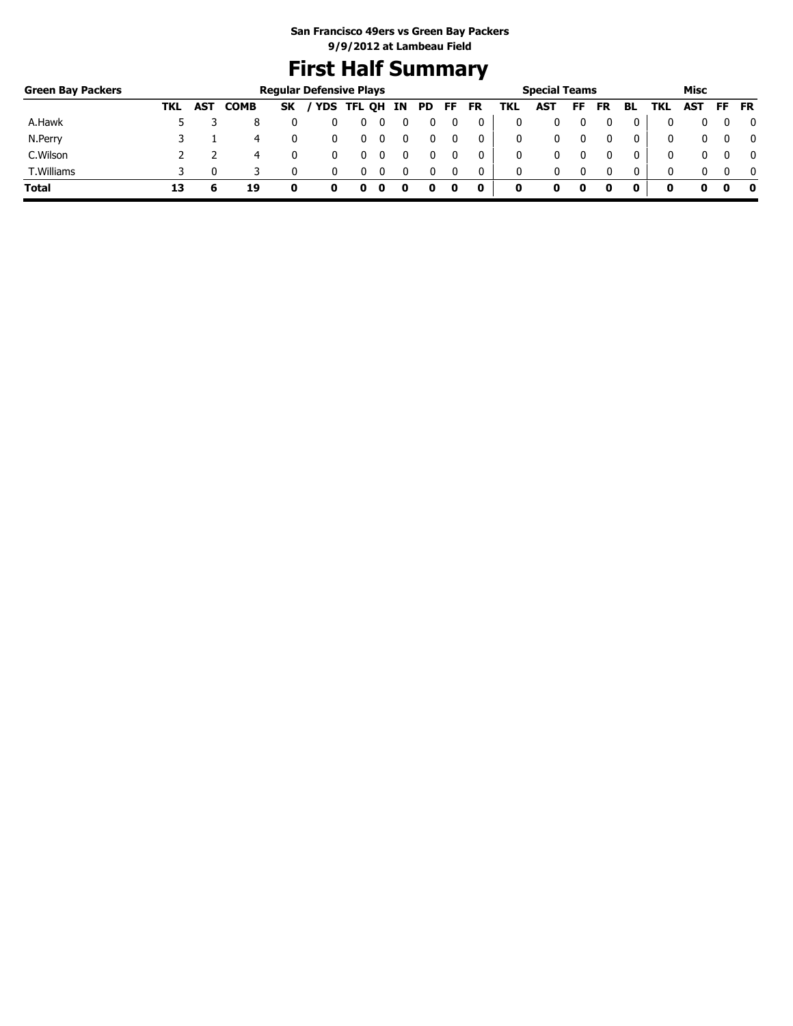### **First Half Summary**

| <b>Green Bay Packers</b><br>A.Hawk<br>N.Perry<br>C.Wilson<br>T.Williams |     |            |             |           | <b>Regular Defensive Plays</b> |                   |    |     |     |           |     | <b>Special Teams</b> |    |           |              |     | Misc |     |              |
|-------------------------------------------------------------------------|-----|------------|-------------|-----------|--------------------------------|-------------------|----|-----|-----|-----------|-----|----------------------|----|-----------|--------------|-----|------|-----|--------------|
|                                                                         | TKL | <b>AST</b> | <b>COMB</b> | <b>SK</b> |                                | <b>YDS TFL QH</b> | IN | PD. | FF. | <b>FR</b> | TKL | AST                  | FF | <b>FR</b> | BL           | TKL | AST  | FF. | <b>FR</b>    |
|                                                                         |     |            |             |           |                                | υ                 |    |     |     |           |     |                      |    |           |              |     |      |     | 0            |
|                                                                         |     |            | 4           |           |                                | U                 |    |     |     | 0         |     | 0                    |    |           | 0            |     |      |     | $\mathbf{0}$ |
|                                                                         |     |            | 4           |           |                                |                   |    |     |     | 0         |     | 0                    |    |           | 0            | 0   |      |     | $\mathbf{0}$ |
|                                                                         |     |            |             |           |                                |                   |    |     |     | 0         | 0   | 0                    |    | 0         | $\mathbf{0}$ | 0   |      |     | $\mathbf{0}$ |
| <b>Total</b>                                                            |     |            | 19          | o         | o                              | o                 |    |     | 0   | 0         | 0   |                      | 0  |           | 0            | o   |      |     | 0            |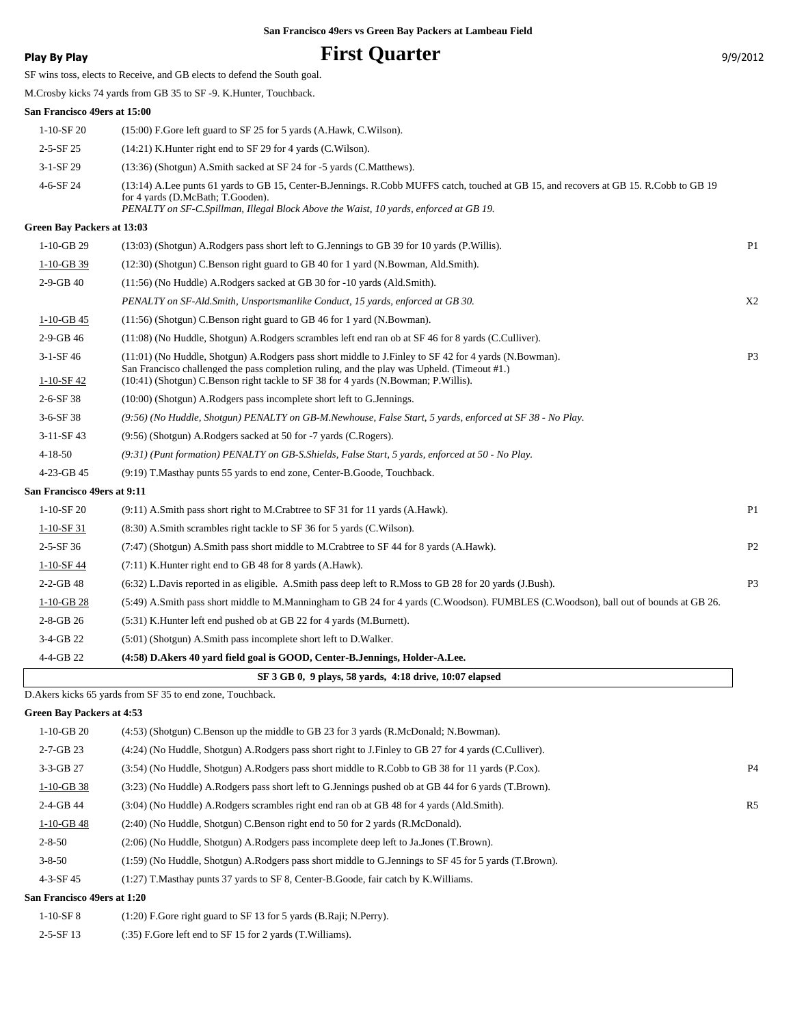**Play By Play Play Play Play By Play First Quarter** 9/9/2012

SF wins toss, elects to Receive, and GB elects to defend the South goal.

M.Crosby kicks 74 yards from GB 35 to SF -9. K.Hunter, Touchback.

#### **San Francisco 49ers at 15:00**

| $1-10-$ SF 20              | (15:00) F.Gore left guard to SF 25 for 5 yards (A.Hawk, C.Wilson).                                                                                                                                                                                                   |    |
|----------------------------|----------------------------------------------------------------------------------------------------------------------------------------------------------------------------------------------------------------------------------------------------------------------|----|
| $2 - 5 - SF$ 25            | $(14:21)$ K. Hunter right end to SF 29 for 4 yards $(C.Wilson)$ .                                                                                                                                                                                                    |    |
| $3-1-SF29$                 | (13:36) (Shotgun) A.Smith sacked at SF 24 for -5 yards (C.Matthews).                                                                                                                                                                                                 |    |
| 4-6-SF 24                  | (13:14) A.Lee punts 61 yards to GB 15, Center-B.Jennings. R.Cobb MUFFS catch, touched at GB 15, and recovers at GB 15. R.Cobb to GB 19<br>for 4 vards (D.McBath: T.Gooden).<br>PENALTY on SF-C.Spillman, Illegal Block Above the Waist, 10 yards, enforced at GB 19. |    |
| Green Bav Packers at 13:03 |                                                                                                                                                                                                                                                                      |    |
| $1-10-GB$ 29               | (13:03) (Shotgun) A.Rodgers pass short left to G.Jennings to GB 39 for 10 yards (P.Willis).                                                                                                                                                                          | P1 |
| $1-10-GB$ 39               | (12:30) (Shotgun) C.Benson right guard to GB 40 for 1 yard (N.Bowman, Ald.Smith).                                                                                                                                                                                    |    |
| $2 - 9 - GB 40$            | $(11:56)$ (No Huddle) A.Rodgers sacked at GB 30 for $-10$ yards (Ald.Smith).                                                                                                                                                                                         |    |
|                            | PENALTY on SF-Ald.Smith, Unsportsmanlike Conduct, 15 yards, enforced at GB 30.                                                                                                                                                                                       | X2 |

| $1-10-GB$ 45    | $(11:56)$ (Shotgun) C. Benson right guard to GB 46 for 1 yard (N. Bowman).                                                                                                                           |                |
|-----------------|------------------------------------------------------------------------------------------------------------------------------------------------------------------------------------------------------|----------------|
| $2-9-GB$ 46     | (11:08) (No Huddle, Shotgun) A.Rodgers scrambles left end ran ob at SF 46 for 8 yards (C.Culliver).                                                                                                  |                |
| $3-1-SF46$      | (11:01) (No Huddle, Shotgun) A.Rodgers pass short middle to J.Finley to SF 42 for 4 yards (N.Bowman).<br>San Francisco challenged the pass completion ruling, and the play was Upheld. (Timeout #1.) | P <sub>3</sub> |
| $1-10-SF42$     | (10:41) (Shotgun) C.Benson right tackle to SF 38 for 4 yards (N.Bowman; P.Willis).                                                                                                                   |                |
| $2 - 6 - SF$ 38 | (10:00) (Shotgun) A.Rodgers pass incomplete short left to G.Jennings.                                                                                                                                |                |
| $3-6-SF$ 38     | (9:56) (No Huddle, Shotgun) PENALTY on GB-M.Newhouse, False Start, 5 yards, enforced at SF 38 - No Play.                                                                                             |                |
| $3-11-SF43$     | (9:56) (Shotgun) A.Rodgers sacked at 50 for -7 yards (C.Rogers).                                                                                                                                     |                |
|                 |                                                                                                                                                                                                      |                |

| 4-18-50 | (9:31) (Punt formation) PENALTY on GB-S. Shields, False Start, 5 yards, enforced at 50 - No Play. |  |  |  |
|---------|---------------------------------------------------------------------------------------------------|--|--|--|
|---------|---------------------------------------------------------------------------------------------------|--|--|--|

| $4-23-GB$ 45 | (9:19) T. Masthay punts 55 yards to end zone, Center-B. Goode, Touchback. |
|--------------|---------------------------------------------------------------------------|
|--------------|---------------------------------------------------------------------------|

#### **San Francisco 49ers at 9:11**

| SF 3 GB 0, 9 plays, 58 yards, 4:18 drive, 10:07 elapsed |                                                                                                                                      |                |  |  |  |  |
|---------------------------------------------------------|--------------------------------------------------------------------------------------------------------------------------------------|----------------|--|--|--|--|
| $4 - 4 - GB$ 22                                         | (4:58) D. Akers 40 yard field goal is GOOD, Center-B. Jennings, Holder-A. Lee.                                                       |                |  |  |  |  |
| $3-4-GB$ 22                                             | (5:01) (Shotgun) A.Smith pass incomplete short left to D.Walker.                                                                     |                |  |  |  |  |
| $2 - 8 - GB$ 26                                         | (5:31) K. Hunter left end pushed ob at GB 22 for 4 yards (M. Burnett).                                                               |                |  |  |  |  |
| $1-10-GB28$                                             | (5:49) A.Smith pass short middle to M.Manningham to GB 24 for 4 yards (C.Woodson). FUMBLES (C.Woodson), ball out of bounds at GB 26. |                |  |  |  |  |
| $2 - 2 - GB$ 48                                         | (6:32) L.Davis reported in as eligible. A.Smith pass deep left to R.Moss to GB 28 for 20 yards (J.Bush).                             | P <sub>3</sub> |  |  |  |  |
| $1-10-SF44$                                             | (7:11) K. Hunter right end to GB 48 for 8 yards (A. Hawk).                                                                           |                |  |  |  |  |
| $2 - 5 - SF$ 36                                         | (7:47) (Shotgun) A.Smith pass short middle to M.Crabtree to SF 44 for 8 yards (A.Hawk).                                              | P <sub>2</sub> |  |  |  |  |
| $1-10-SF$ 31                                            | (8:30) A.Smith scrambles right tackle to SF 36 for 5 yards (C.Wilson).                                                               |                |  |  |  |  |
| $1-10-$ SF 20                                           | $(9:11)$ A.Smith pass short right to M.Crabtree to SF 31 for 11 yards (A.Hawk).                                                      | P <sub>1</sub> |  |  |  |  |
|                                                         |                                                                                                                                      |                |  |  |  |  |

D.Akers kicks 65 yards from SF 35 to end zone, Touchback.

#### **Green Bay Packers at 4:53**

| $1-10-GB20$                 | (4.53) (Shotgun) C.Benson up the middle to GB 23 for 3 yards (R.McDonald; N.Bowman).                              |                |
|-----------------------------|-------------------------------------------------------------------------------------------------------------------|----------------|
| $2 - 7 - GB$ 23             | (4:24) (No Huddle, Shotgun) A.Rodgers pass short right to J.Finley to GB 27 for 4 yards (C.Culliver).             |                |
| $3-3-GB$ 27                 | (3:54) (No Huddle, Shotgun) A.Rodgers pass short middle to R.Cobb to GB 38 for 11 yards (P.Cox).                  | P <sub>4</sub> |
| $1-10-GB$ 38                | (3:23) (No Huddle) A.Rodgers pass short left to G.Jennings pushed ob at GB 44 for 6 yards (T.Brown).              |                |
| $2-4-GB$ 44                 | (3:04) (No Huddle) A.Rodgers scrambles right end ran ob at GB 48 for 4 yards (Ald.Smith).                         | R <sub>5</sub> |
| $1-10-GB$ 48                | (2.40) (No Huddle, Shotgun) C.Benson right end to 50 for 2 yards (R.McDonald).                                    |                |
| $2 - 8 - 50$                | (2:06) (No Huddle, Shotgun) A.Rodgers pass incomplete deep left to Ja.Jones (T.Brown).                            |                |
| $3 - 8 - 50$                | (1:59) (No Huddle, Shotgun) A.Rodgers pass short middle to G.Jennings to SF 45 for 5 yards (T.Brown).             |                |
| $4 - 3 - SF$ 45             | $(1:27)$ T. Masthay punts 37 yards to SF 8, Center-B. Goode, fair catch by K. Williams.                           |                |
| San Francisco 49ers at 1:20 |                                                                                                                   |                |
| $1.10$ GP 0                 | $(1.00 \text{ F})$ $(1.00 \text{ F})$ $(1.00 \text{ F})$ $(1.00 \text{ F})$ $(1.00 \text{ F})$ $(1.00 \text{ F})$ |                |

| $1-10-$ SF 8 | $(1:20)$ F.Gore right guard to SF 13 for 5 yards (B.Raji; N.Perry). |
|--------------|---------------------------------------------------------------------|
| $2-5-SE$ 13  | $(.35)$ F.Gore left end to SF 15 for 2 yards (T.Williams).          |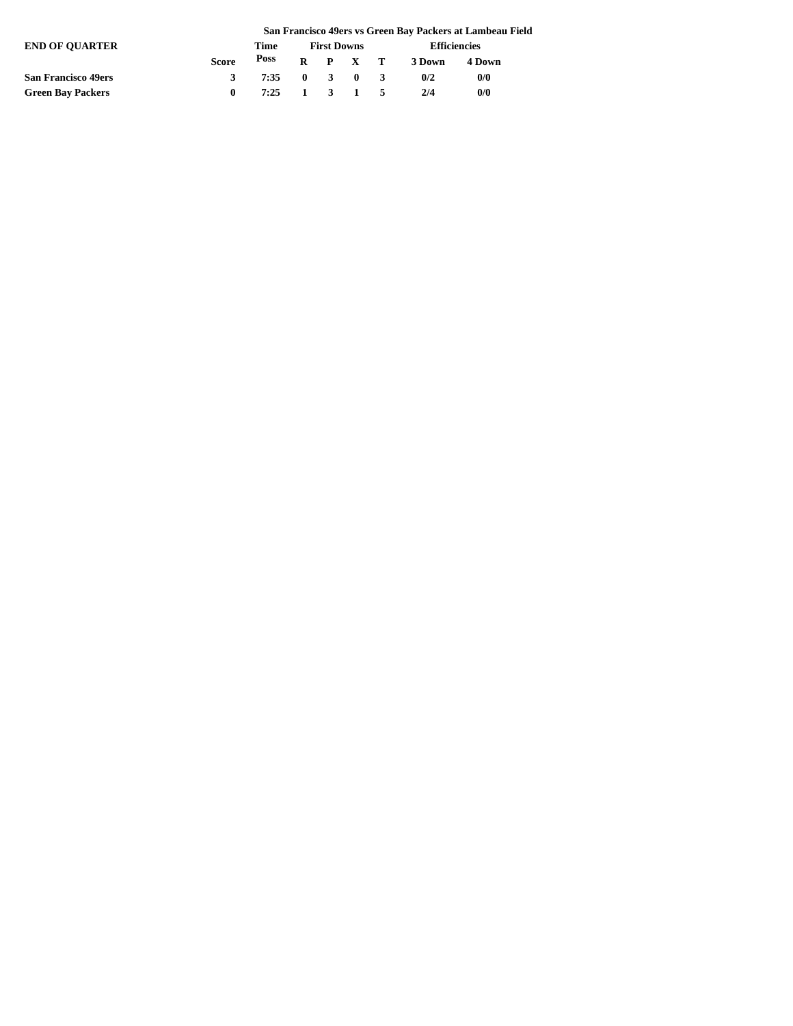|                            |       | San Francisco 49ers vs Green Bay Packers at Lambeau Field |                    |  |                 |  |                     |        |  |  |  |
|----------------------------|-------|-----------------------------------------------------------|--------------------|--|-----------------|--|---------------------|--------|--|--|--|
| <b>END OF OUARTER</b>      |       | Time                                                      | <b>First Downs</b> |  |                 |  | <b>Efficiencies</b> |        |  |  |  |
|                            | Score | Poss                                                      |                    |  | $R$ $P$ $X$ $T$ |  | 3 Down              | 4 Down |  |  |  |
| <b>San Francisco 49ers</b> | 3     | 7:35 0 3 0 3                                              |                    |  |                 |  | 0/2                 | 0/0    |  |  |  |
| <b>Green Bay Packers</b>   | 0     | 7:25 1 3 1 5                                              |                    |  |                 |  | 2/4                 | 0/0    |  |  |  |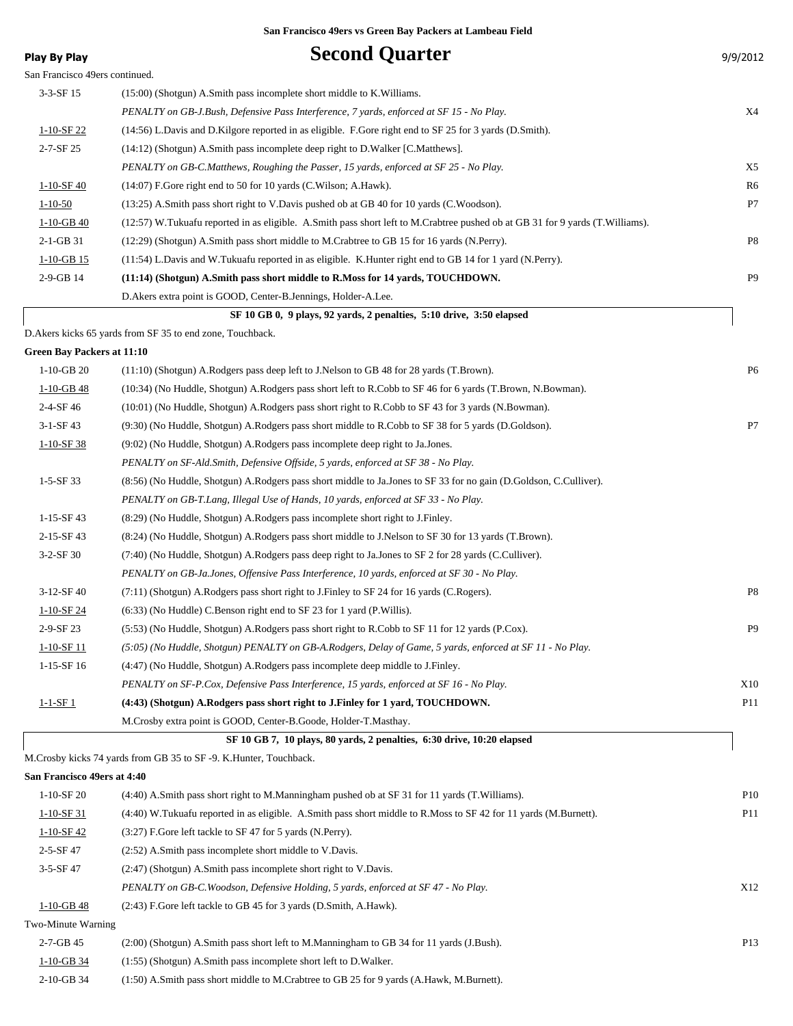| <b>Play By Play</b>            | <b>Second Quarter</b>                                                                                                             | 9/9/2012        |
|--------------------------------|-----------------------------------------------------------------------------------------------------------------------------------|-----------------|
| San Francisco 49ers continued. |                                                                                                                                   |                 |
| $3-3-SF$ 15                    | $(15:00)$ (Shotgun) A.Smith pass incomplete short middle to K.Williams.                                                           |                 |
|                                | PENALTY on GB-J.Bush, Defensive Pass Interference, 7 yards, enforced at SF 15 - No Play.                                          | X4              |
| $1 - 10 - SF$ 22               | (14:56) L.Davis and D.Kilgore reported in as eligible. F.Gore right end to SF 25 for 3 yards (D.Smith).                           |                 |
| $2 - 7 - SF$ 25                | (14:12) (Shotgun) A.Smith pass incomplete deep right to D.Walker [C.Matthews].                                                    |                 |
|                                | PENALTY on GB-C.Matthews, Roughing the Passer, 15 yards, enforced at SF 25 - No Play.                                             | X5              |
| $1 - 10 - SF - 40$             | (14:07) F.Gore right end to 50 for 10 yards (C.Wilson; A.Hawk).                                                                   | R <sub>6</sub>  |
| $1 - 10 - 50$                  | (13:25) A.Smith pass short right to V.Davis pushed ob at GB 40 for 10 yards (C.Woodson).                                          | P7              |
| $1-10-GB$ 40                   | (12:57) W. Tukuafu reported in as eligible. A. Smith pass short left to M. Crabtree pushed ob at GB 31 for 9 yards (T. Williams). |                 |
| $2-1-GB$ 31                    | (12:29) (Shotgun) A.Smith pass short middle to M.Crabtree to GB 15 for 16 yards (N.Perry).                                        | P8              |
| $1-10-GB$ 15                   | (11:54) L.Davis and W.Tukuafu reported in as eligible. K.Hunter right end to GB 14 for 1 yard (N.Perry).                          |                 |
| 2-9-GB 14                      | (11:14) (Shotgun) A.Smith pass short middle to R.Moss for 14 yards, TOUCHDOWN.                                                    | P <sub>9</sub>  |
|                                | D. Akers extra point is GOOD, Center-B. Jennings, Holder-A. Lee.                                                                  |                 |
|                                | SF 10 GB 0, 9 plays, 92 yards, 2 penalties, 5:10 drive, 3:50 elapsed                                                              |                 |
|                                | D. Akers kicks 65 yards from SF 35 to end zone, Touchback.                                                                        |                 |
| Green Bay Packers at 11:10     |                                                                                                                                   |                 |
| $1-10-GB$ 20                   | (11:10) (Shotgun) A.Rodgers pass deep left to J.Nelson to GB 48 for 28 yards (T.Brown).                                           | P <sub>6</sub>  |
| $1-10-GB$ 48                   | (10:34) (No Huddle, Shotgun) A.Rodgers pass short left to R.Cobb to SF 46 for 6 yards (T.Brown, N.Bowman).                        |                 |
| $2-4-SF46$                     | (10:01) (No Huddle, Shotgun) A.Rodgers pass short right to R.Cobb to SF 43 for 3 yards (N.Bowman).                                |                 |
| $3-1-SF$ 43                    | (9:30) (No Huddle, Shotgun) A.Rodgers pass short middle to R.Cobb to SF 38 for 5 yards (D.Goldson).                               | P7              |
| $1 - 10 - SF38$                | (9:02) (No Huddle, Shotgun) A.Rodgers pass incomplete deep right to Ja.Jones.                                                     |                 |
|                                | PENALTY on SF-Ald. Smith, Defensive Offside, 5 yards, enforced at SF 38 - No Play.                                                |                 |
| $1-5-SF33$                     | (8:56) (No Huddle, Shotgun) A.Rodgers pass short middle to Ja.Jones to SF 33 for no gain (D.Goldson, C.Culliver).                 |                 |
|                                | PENALTY on GB-T.Lang, Illegal Use of Hands, 10 yards, enforced at SF 33 - No Play.                                                |                 |
| $1 - 15 - SF$ 43               | (8.29) (No Huddle, Shotgun) A.Rodgers pass incomplete short right to J.Finley.                                                    |                 |
| 2-15-SF43                      | (8:24) (No Huddle, Shotgun) A.Rodgers pass short middle to J.Nelson to SF 30 for 13 yards (T.Brown).                              |                 |
| 3-2-SF 30                      | (7:40) (No Huddle, Shotgun) A.Rodgers pass deep right to Ja.Jones to SF 2 for 28 yards (C.Culliver).                              |                 |
|                                | PENALTY on GB-Ja.Jones, Offensive Pass Interference, 10 yards, enforced at SF 30 - No Play.                                       |                 |
| $3-12-SF40$                    | $(7.11)$ (Shotgun) A.Rodgers pass short right to J.Finley to SF 24 for 16 yards (C.Rogers).                                       | P <sub>8</sub>  |
| $1-10-SF24$                    | (6:33) (No Huddle) C.Benson right end to SF 23 for 1 yard (P.Willis).                                                             |                 |
| 2-9-SF 23                      | (5:53) (No Huddle, Shotgun) A.Rodgers pass short right to R.Cobb to SF 11 for 12 yards (P.Cox).                                   | P <sub>9</sub>  |
| $1 - 10 - SF$ 11               | (5:05) (No Huddle, Shotgun) PENALTY on GB-A.Rodgers, Delay of Game, 5 yards, enforced at SF 11 - No Play.                         |                 |
| $1-15-SF16$                    | (4:47) (No Huddle, Shotgun) A.Rodgers pass incomplete deep middle to J.Finley.                                                    |                 |
|                                | PENALTY on SF-P.Cox, Defensive Pass Interference, 15 yards, enforced at SF 16 - No Play.                                          | X10             |
| $1 - 1 - SF1$                  | (4:43) (Shotgun) A.Rodgers pass short right to J.Finley for 1 yard, TOUCHDOWN.                                                    | P <sub>11</sub> |
|                                | M.Crosby extra point is GOOD, Center-B.Goode, Holder-T.Masthay.                                                                   |                 |
|                                | SF 10 GB 7, 10 plays, 80 yards, 2 penalties, 6:30 drive, 10:20 elapsed                                                            |                 |
|                                | M.Crosby kicks 74 yards from GB 35 to SF -9. K.Hunter, Touchback.                                                                 |                 |
| San Francisco 49ers at 4:40    |                                                                                                                                   |                 |
| $1-10-SF20$                    | (4:40) A.Smith pass short right to M.Manningham pushed ob at SF 31 for 11 yards (T.Williams).                                     | P <sub>10</sub> |
| $1-10-SF$ 31                   | (4:40) W.Tukuafu reported in as eligible. A.Smith pass short middle to R.Moss to SF 42 for 11 yards (M.Burnett).                  | P <sub>11</sub> |
| $1 - 10 - SF$ 42               | (3:27) F.Gore left tackle to SF 47 for 5 yards (N.Perry).                                                                         |                 |
| $2 - 5 - SF 47$                | (2:52) A.Smith pass incomplete short middle to V.Davis.                                                                           |                 |
| $3 - 5 - SF$ 47                | (2:47) (Shotgun) A.Smith pass incomplete short right to V.Davis.                                                                  |                 |
|                                | PENALTY on GB-C.Woodson, Defensive Holding, 5 yards, enforced at SF 47 - No Play.                                                 | X12             |
| $1-10-GB$ 48                   | (2:43) F.Gore left tackle to GB 45 for 3 yards (D.Smith, A.Hawk).                                                                 |                 |
| Two-Minute Warning             |                                                                                                                                   |                 |
| $2 - 7 - GB$ 45                | (2:00) (Shotgun) A.Smith pass short left to M.Manningham to GB 34 for 11 yards (J.Bush).                                          | P <sub>13</sub> |
| $1 - 10 - GB$ 34               | (1:55) (Shotgun) A.Smith pass incomplete short left to D.Walker.                                                                  |                 |
|                                |                                                                                                                                   |                 |

2-10-GB 34 (1:50) A.Smith pass short middle to M.Crabtree to GB 25 for 9 yards (A.Hawk, M.Burnett).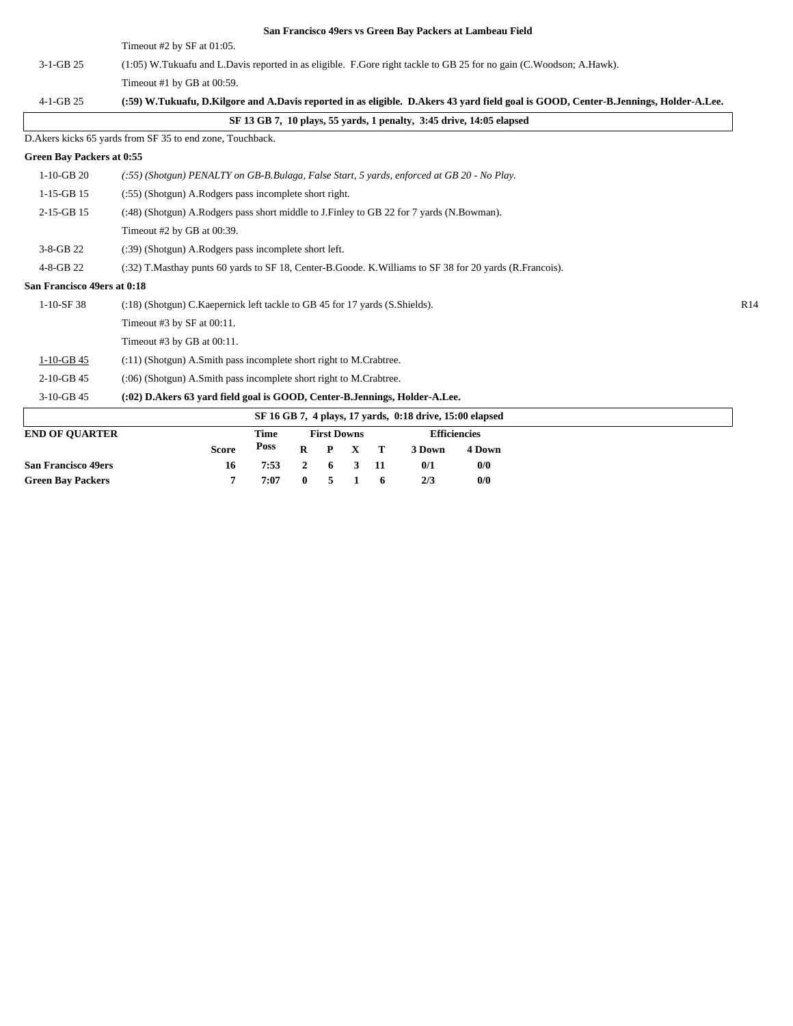|                                  |                                                                                                                                      |             |                |                    |   |     | San Francisco 49ers vs Green Bay Packers at Lambeau Field            |                     |  |     |
|----------------------------------|--------------------------------------------------------------------------------------------------------------------------------------|-------------|----------------|--------------------|---|-----|----------------------------------------------------------------------|---------------------|--|-----|
|                                  | Timeout #2 by SF at $01:05$ .                                                                                                        |             |                |                    |   |     |                                                                      |                     |  |     |
| 3-1-GB 25                        | (1:05) W.Tukuafu and L.Davis reported in as eligible. F.Gore right tackle to GB 25 for no gain (C.Woodson; A.Hawk).                  |             |                |                    |   |     |                                                                      |                     |  |     |
|                                  | Timeout #1 by GB at 00:59.                                                                                                           |             |                |                    |   |     |                                                                      |                     |  |     |
| 4-1-GB 25                        | (:59) W.Tukuafu, D.Kilgore and A.Davis reported in as eligible. D.Akers 43 yard field goal is GOOD, Center-B.Jennings, Holder-A.Lee. |             |                |                    |   |     |                                                                      |                     |  |     |
|                                  |                                                                                                                                      |             |                |                    |   |     | SF 13 GB 7, 10 plays, 55 yards, 1 penalty, 3:45 drive, 14:05 elapsed |                     |  |     |
|                                  | D.Akers kicks 65 yards from SF 35 to end zone, Touchback.                                                                            |             |                |                    |   |     |                                                                      |                     |  |     |
| <b>Green Bay Packers at 0:55</b> |                                                                                                                                      |             |                |                    |   |     |                                                                      |                     |  |     |
| $1-10-GB$ 20                     | (:55) (Shotgun) PENALTY on GB-B.Bulaga, False Start, 5 yards, enforced at GB 20 - No Play.                                           |             |                |                    |   |     |                                                                      |                     |  |     |
| $1-15-GB$ 15                     | (:55) (Shotgun) A.Rodgers pass incomplete short right.                                                                               |             |                |                    |   |     |                                                                      |                     |  |     |
| 2-15-GB 15                       | (:48) (Shotgun) A.Rodgers pass short middle to J.Finley to GB 22 for 7 yards (N.Bowman).                                             |             |                |                    |   |     |                                                                      |                     |  |     |
|                                  | Timeout #2 by GB at 00:39.                                                                                                           |             |                |                    |   |     |                                                                      |                     |  |     |
| $3 - 8 - GB$ 22                  | (:39) (Shotgun) A.Rodgers pass incomplete short left.                                                                                |             |                |                    |   |     |                                                                      |                     |  |     |
| 4-8-GB 22                        | (:32) T.Masthay punts 60 yards to SF 18, Center-B.Goode. K.Williams to SF 38 for 20 yards (R.Francois).                              |             |                |                    |   |     |                                                                      |                     |  |     |
| San Francisco 49ers at 0:18      |                                                                                                                                      |             |                |                    |   |     |                                                                      |                     |  |     |
| $1-10-SF38$                      | (:18) (Shotgun) C.Kaepernick left tackle to GB 45 for 17 yards (S.Shields).                                                          |             |                |                    |   |     |                                                                      |                     |  | R14 |
|                                  | Timeout #3 by SF at 00:11.                                                                                                           |             |                |                    |   |     |                                                                      |                     |  |     |
|                                  | Timeout #3 by GB at 00:11.                                                                                                           |             |                |                    |   |     |                                                                      |                     |  |     |
| $1-10-GB$ 45                     | (:11) (Shotgun) A.Smith pass incomplete short right to M.Crabtree.                                                                   |             |                |                    |   |     |                                                                      |                     |  |     |
| 2-10-GB 45                       | $(0.06)$ (Shotgun) A.Smith pass incomplete short right to M.Crabtree.                                                                |             |                |                    |   |     |                                                                      |                     |  |     |
| 3-10-GB 45                       | (:02) D.Akers 63 vard field goal is GOOD, Center-B.Jennings, Holder-A.Lee.                                                           |             |                |                    |   |     |                                                                      |                     |  |     |
|                                  |                                                                                                                                      |             |                |                    |   |     | SF 16 GB 7, 4 plays, 17 vards, 0:18 drive, 15:00 elapsed             |                     |  |     |
| <b>END OF QUARTER</b>            |                                                                                                                                      | <b>Time</b> |                | <b>First Downs</b> |   |     |                                                                      | <b>Efficiencies</b> |  |     |
|                                  | <b>Score</b>                                                                                                                         | <b>Poss</b> | $\mathbf R$    | P                  | X | т   | 3 Down                                                               | 4 Down              |  |     |
| <b>San Francisco 49ers</b>       | 16                                                                                                                                   | 7:53        | $\overline{2}$ | 6                  | 3 | -11 | 0/1                                                                  | 0/0                 |  |     |

**Green Bay Packers 7 7:07 0 5 1 6 2/3 0/0**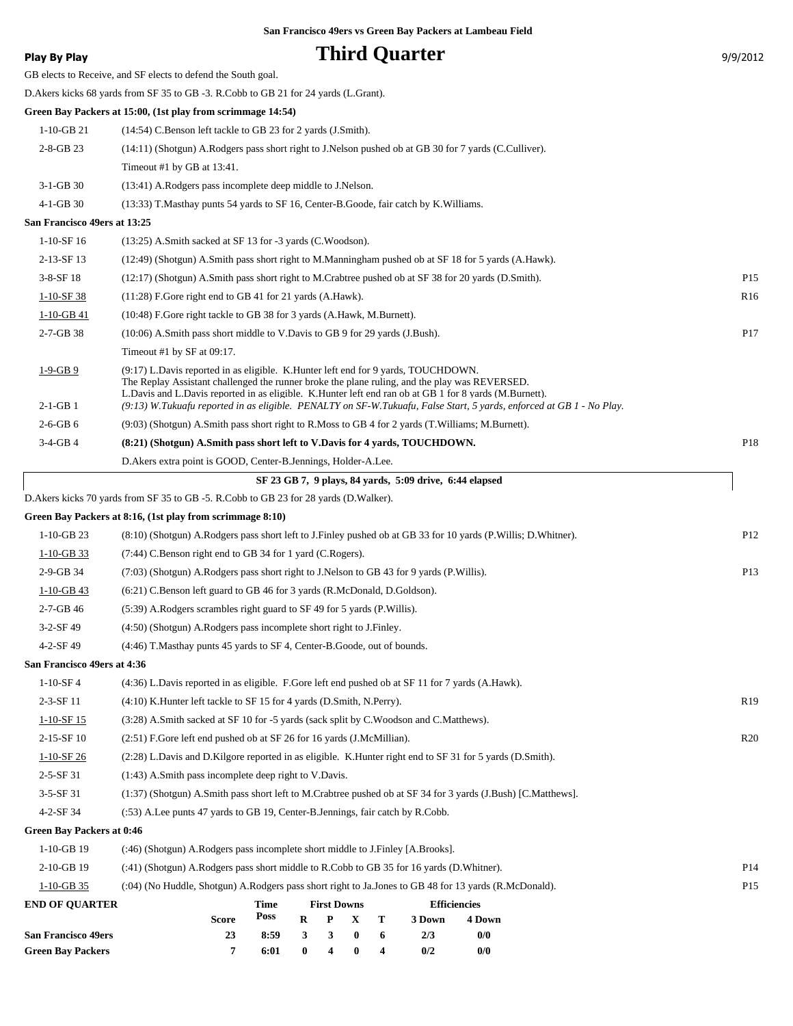**Play By Play Play Play Play Play By Play Play By Play Play By Play Play Play Play Play Play Play Play Play Play Play Play Play Play Play Play Play Play Play Play Play**

|                                  | GB elects to Receive, and SF elects to defend the South goal.                                                                                                                                                                                                                                                                                                                                                            |      |             |                         |                  |                         |                                                         |                     |        |                 |
|----------------------------------|--------------------------------------------------------------------------------------------------------------------------------------------------------------------------------------------------------------------------------------------------------------------------------------------------------------------------------------------------------------------------------------------------------------------------|------|-------------|-------------------------|------------------|-------------------------|---------------------------------------------------------|---------------------|--------|-----------------|
|                                  | D. Akers kicks 68 yards from SF 35 to GB -3. R. Cobb to GB 21 for 24 yards (L. Grant).                                                                                                                                                                                                                                                                                                                                   |      |             |                         |                  |                         |                                                         |                     |        |                 |
|                                  | Green Bay Packers at 15:00, (1st play from scrimmage 14:54)                                                                                                                                                                                                                                                                                                                                                              |      |             |                         |                  |                         |                                                         |                     |        |                 |
| $1-10-GB21$                      | (14:54) C.Benson left tackle to GB 23 for 2 yards (J.Smith).                                                                                                                                                                                                                                                                                                                                                             |      |             |                         |                  |                         |                                                         |                     |        |                 |
| $2 - 8 - GB$ 23                  | (14:11) (Shotgun) A.Rodgers pass short right to J.Nelson pushed ob at GB 30 for 7 yards (C.Culliver).                                                                                                                                                                                                                                                                                                                    |      |             |                         |                  |                         |                                                         |                     |        |                 |
|                                  | Timeout #1 by GB at 13:41.                                                                                                                                                                                                                                                                                                                                                                                               |      |             |                         |                  |                         |                                                         |                     |        |                 |
| $3-1-GB$ 30                      | (13:41) A.Rodgers pass incomplete deep middle to J.Nelson.                                                                                                                                                                                                                                                                                                                                                               |      |             |                         |                  |                         |                                                         |                     |        |                 |
| $4-1-GB$ 30                      | (13:33) T.Masthay punts 54 yards to SF 16, Center-B.Goode, fair catch by K.Williams.                                                                                                                                                                                                                                                                                                                                     |      |             |                         |                  |                         |                                                         |                     |        |                 |
| San Francisco 49ers at 13:25     |                                                                                                                                                                                                                                                                                                                                                                                                                          |      |             |                         |                  |                         |                                                         |                     |        |                 |
| $1-10-SF16$                      | $(13:25)$ A.Smith sacked at SF 13 for -3 yards $(C.Woodson)$ .                                                                                                                                                                                                                                                                                                                                                           |      |             |                         |                  |                         |                                                         |                     |        |                 |
| 2-13-SF 13                       | (12:49) (Shotgun) A.Smith pass short right to M.Manningham pushed ob at SF 18 for 5 yards (A.Hawk).                                                                                                                                                                                                                                                                                                                      |      |             |                         |                  |                         |                                                         |                     |        |                 |
| $3-8-SF$ 18                      | (12:17) (Shotgun) A.Smith pass short right to M.Crabtree pushed ob at SF 38 for 20 yards (D.Smith).                                                                                                                                                                                                                                                                                                                      |      |             |                         |                  |                         |                                                         |                     |        | P <sub>15</sub> |
| $1 - 10 - SF$ 38                 | $(11:28)$ F.Gore right end to GB 41 for 21 yards $(A.Hawk)$ .                                                                                                                                                                                                                                                                                                                                                            |      |             |                         |                  |                         |                                                         |                     |        | R <sub>16</sub> |
| $1 - 10 - GB - 41$               | (10:48) F.Gore right tackle to GB 38 for 3 yards (A.Hawk, M.Burnett).                                                                                                                                                                                                                                                                                                                                                    |      |             |                         |                  |                         |                                                         |                     |        |                 |
| $2 - 7 - GB$ 38                  | $(10:06)$ A.Smith pass short middle to V.Davis to GB 9 for 29 yards (J.Bush).                                                                                                                                                                                                                                                                                                                                            |      |             |                         |                  |                         |                                                         |                     |        | P17             |
|                                  | Timeout #1 by SF at 09:17.                                                                                                                                                                                                                                                                                                                                                                                               |      |             |                         |                  |                         |                                                         |                     |        |                 |
| $1-9-GB9$<br>$2-1-GB$ 1          | (9:17) L.Davis reported in as eligible. K.Hunter left end for 9 yards, TOUCHDOWN.<br>The Replay Assistant challenged the runner broke the plane ruling, and the play was REVERSED.<br>L. Davis and L. Davis reported in as eligible. K. Hunter left end ran ob at GB 1 for 8 yards (M. Burnett).<br>(9:13) W.Tukuafu reported in as eligible. PENALTY on SF-W.Tukuafu, False Start, 5 yards, enforced at GB 1 - No Play. |      |             |                         |                  |                         |                                                         |                     |        |                 |
| $2-6-GB$ 6                       | (9:03) (Shotgun) A.Smith pass short right to R.Moss to GB 4 for 2 yards (T.Williams; M.Burnett).                                                                                                                                                                                                                                                                                                                         |      |             |                         |                  |                         |                                                         |                     |        |                 |
| $3-4-GB$ 4                       | (8:21) (Shotgun) A.Smith pass short left to V.Davis for 4 yards, TOUCHDOWN.                                                                                                                                                                                                                                                                                                                                              |      |             |                         |                  |                         |                                                         |                     |        | P <sub>18</sub> |
|                                  | D. Akers extra point is GOOD, Center-B. Jennings, Holder-A. Lee.                                                                                                                                                                                                                                                                                                                                                         |      |             |                         |                  |                         |                                                         |                     |        |                 |
|                                  |                                                                                                                                                                                                                                                                                                                                                                                                                          |      |             |                         |                  |                         | SF 23 GB 7, 9 plays, 84 yards, 5:09 drive, 6:44 elapsed |                     |        |                 |
|                                  | D. Akers kicks 70 yards from SF 35 to GB -5. R. Cobb to GB 23 for 28 yards (D. Walker).                                                                                                                                                                                                                                                                                                                                  |      |             |                         |                  |                         |                                                         |                     |        |                 |
|                                  | Green Bay Packers at 8:16, (1st play from scrimmage 8:10)                                                                                                                                                                                                                                                                                                                                                                |      |             |                         |                  |                         |                                                         |                     |        |                 |
| $1-10-GB$ 23                     | (8:10) (Shotgun) A.Rodgers pass short left to J.Finley pushed ob at GB 33 for 10 yards (P.Willis; D.Whitner).                                                                                                                                                                                                                                                                                                            |      |             |                         |                  |                         |                                                         |                     |        | P <sub>12</sub> |
| $1-10-GB$ 33                     | (7:44) C.Benson right end to GB 34 for 1 yard (C.Rogers).                                                                                                                                                                                                                                                                                                                                                                |      |             |                         |                  |                         |                                                         |                     |        |                 |
| $2-9-GB$ 34                      | (7:03) (Shotgun) A.Rodgers pass short right to J.Nelson to GB 43 for 9 yards (P.Willis).                                                                                                                                                                                                                                                                                                                                 |      |             |                         |                  |                         |                                                         |                     |        | P13             |
| $1 - 10 - GB - 43$               | (6:21) C.Benson left guard to GB 46 for 3 yards (R.McDonald, D.Goldson).                                                                                                                                                                                                                                                                                                                                                 |      |             |                         |                  |                         |                                                         |                     |        |                 |
| $2 - 7 - GB$ 46                  | (5:39) A.Rodgers scrambles right guard to SF 49 for 5 yards (P.Willis).                                                                                                                                                                                                                                                                                                                                                  |      |             |                         |                  |                         |                                                         |                     |        |                 |
| $3-2-SF49$                       | (4:50) (Shotgun) A.Rodgers pass incomplete short right to J.Finley.                                                                                                                                                                                                                                                                                                                                                      |      |             |                         |                  |                         |                                                         |                     |        |                 |
| 4-2-SF 49                        | (4:46) T.Masthay punts 45 yards to SF 4, Center-B.Goode, out of bounds.                                                                                                                                                                                                                                                                                                                                                  |      |             |                         |                  |                         |                                                         |                     |        |                 |
| San Francisco 49ers at 4:36      |                                                                                                                                                                                                                                                                                                                                                                                                                          |      |             |                         |                  |                         |                                                         |                     |        |                 |
| $1 - 10 - SF4$                   | (4:36) L. Davis reported in as eligible. F. Gore left end pushed ob at SF 11 for 7 yards (A. Hawk).                                                                                                                                                                                                                                                                                                                      |      |             |                         |                  |                         |                                                         |                     |        |                 |
| 2-3-SF 11                        | (4:10) K. Hunter left tackle to SF 15 for 4 yards (D. Smith, N. Perry).                                                                                                                                                                                                                                                                                                                                                  |      |             |                         |                  |                         |                                                         |                     |        | R <sub>19</sub> |
| $1-10-SF$ 15                     | (3:28) A.Smith sacked at SF 10 for -5 yards (sack split by C.Woodson and C.Matthews).                                                                                                                                                                                                                                                                                                                                    |      |             |                         |                  |                         |                                                         |                     |        |                 |
| $2-15-SF10$                      | (2:51) F.Gore left end pushed ob at SF 26 for 16 yards (J.McMillian).                                                                                                                                                                                                                                                                                                                                                    |      |             |                         |                  |                         |                                                         |                     |        | R <sub>20</sub> |
| $1 - 10 - SF$ 26                 | (2:28) L.Davis and D.Kilgore reported in as eligible. K.Hunter right end to SF 31 for 5 yards (D.Smith).                                                                                                                                                                                                                                                                                                                 |      |             |                         |                  |                         |                                                         |                     |        |                 |
| $2 - 5 - SF31$                   | $(1:43)$ A.Smith pass incomplete deep right to V.Davis.                                                                                                                                                                                                                                                                                                                                                                  |      |             |                         |                  |                         |                                                         |                     |        |                 |
| $3-5-SF31$                       | (1:37) (Shotgun) A.Smith pass short left to M.Crabtree pushed ob at SF 34 for 3 yards (J.Bush) [C.Matthews].                                                                                                                                                                                                                                                                                                             |      |             |                         |                  |                         |                                                         |                     |        |                 |
| 4-2-SF 34                        | (:53) A.Lee punts 47 yards to GB 19, Center-B.Jennings, fair catch by R.Cobb.                                                                                                                                                                                                                                                                                                                                            |      |             |                         |                  |                         |                                                         |                     |        |                 |
| <b>Green Bay Packers at 0:46</b> |                                                                                                                                                                                                                                                                                                                                                                                                                          |      |             |                         |                  |                         |                                                         |                     |        |                 |
| $1-10-GB$ 19                     | (:46) (Shotgun) A.Rodgers pass incomplete short middle to J.Finley [A.Brooks].                                                                                                                                                                                                                                                                                                                                           |      |             |                         |                  |                         |                                                         |                     |        |                 |
| 2-10-GB 19                       | P14<br>(:41) (Shotgun) A.Rodgers pass short middle to R.Cobb to GB 35 for 16 yards (D.Whitner).                                                                                                                                                                                                                                                                                                                          |      |             |                         |                  |                         |                                                         |                     |        |                 |
| $1 - 10 - GB$ 35                 | (:04) (No Huddle, Shotgun) A.Rodgers pass short right to Ja.Jones to GB 48 for 13 yards (R.McDonald).                                                                                                                                                                                                                                                                                                                    |      |             |                         |                  |                         |                                                         |                     |        | P <sub>15</sub> |
| <b>END OF QUARTER</b>            |                                                                                                                                                                                                                                                                                                                                                                                                                          | Time |             | <b>First Downs</b>      |                  |                         |                                                         | <b>Efficiencies</b> |        |                 |
|                                  | <b>Score</b>                                                                                                                                                                                                                                                                                                                                                                                                             | Poss | $\mathbf R$ | P                       | X                | т                       | 3 Down                                                  |                     | 4 Down |                 |
| <b>San Francisco 49ers</b>       | 23                                                                                                                                                                                                                                                                                                                                                                                                                       | 8:59 | 3           | 3                       | $\boldsymbol{0}$ | 6                       | 2/3                                                     |                     | 0/0    |                 |
| <b>Green Bay Packers</b>         | 7                                                                                                                                                                                                                                                                                                                                                                                                                        | 6:01 | $\bf{0}$    | $\overline{\mathbf{4}}$ | $\bf{0}$         | $\overline{\mathbf{4}}$ | 0/2                                                     |                     | 0/0    |                 |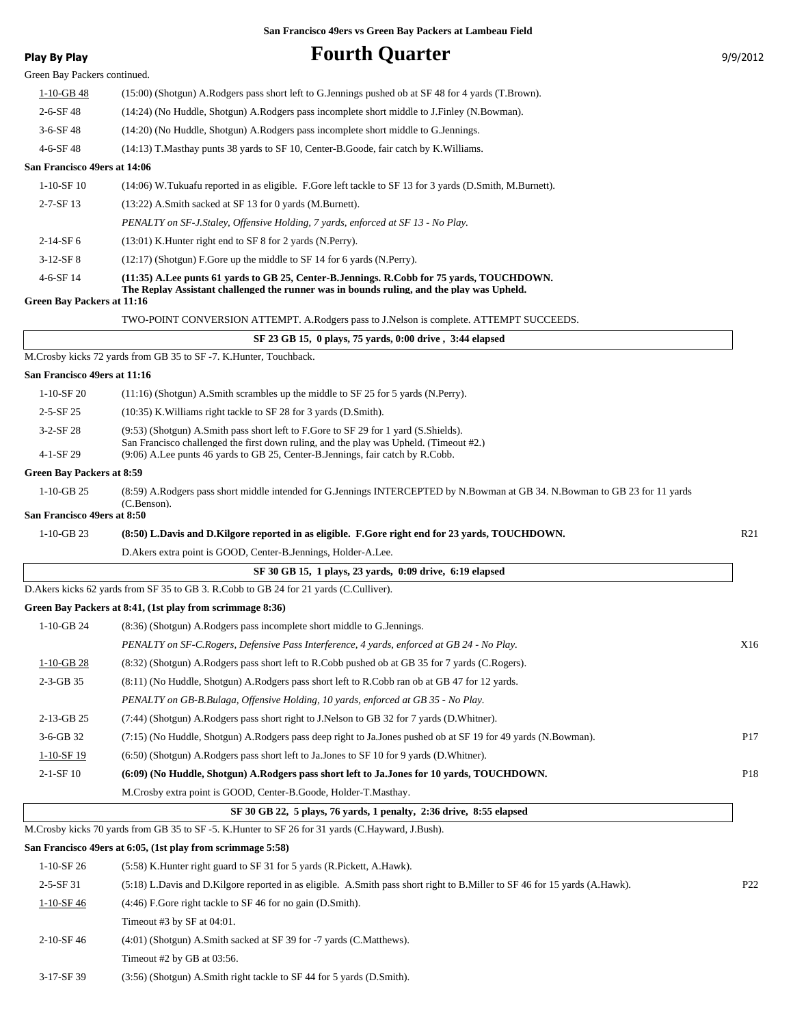### **Play By Play Play Play Play Play By Play Play By Play Play By Play Play Play Play Play Play Play Play Play Play Play Play Play Play Play Play Play Play Play Play Play**

1-10-GB 48 (15:00) (Shotgun) A.Rodgers pass short left to G.Jennings pushed ob at SF 48 for 4 yards (T.Brown).

Green Bay Packers continued.

| $2 - 6 - SF$ 48                             | (14:24) (No Huddle, Shotgun) A.Rodgers pass incomplete short middle to J.Finley (N.Bowman).                                                                                            |                 |
|---------------------------------------------|----------------------------------------------------------------------------------------------------------------------------------------------------------------------------------------|-----------------|
| $3-6-SF48$                                  | (14:20) (No Huddle, Shotgun) A.Rodgers pass incomplete short middle to G.Jennings.                                                                                                     |                 |
| 4-6-SF 48                                   | (14:13) T. Masthay punts 38 yards to SF 10, Center-B. Goode, fair catch by K. Williams.                                                                                                |                 |
| San Francisco 49ers at 14:06                |                                                                                                                                                                                        |                 |
| $1-10-SF10$                                 | (14:06) W.Tukuafu reported in as eligible. F.Gore left tackle to SF 13 for 3 yards (D.Smith, M.Burnett).                                                                               |                 |
| $2 - 7 - SF$ 13                             | $(13:22)$ A.Smith sacked at SF 13 for 0 yards (M.Burnett).                                                                                                                             |                 |
|                                             | PENALTY on SF-J.Staley, Offensive Holding, 7 yards, enforced at SF 13 - No Play.                                                                                                       |                 |
| $2-14-SF6$                                  | (13:01) K. Hunter right end to SF 8 for 2 yards (N. Perry).                                                                                                                            |                 |
| $3-12-SF8$                                  | $(12:17)$ (Shotgun) F.Gore up the middle to SF 14 for 6 yards (N.Perry).                                                                                                               |                 |
| 4-6-SF 14                                   | (11:35) A.Lee punts 61 yards to GB 25, Center-B.Jennings. R.Cobb for 75 yards, TOUCHDOWN.<br>The Replay Assistant challenged the runner was in bounds ruling, and the play was Upheld. |                 |
| Green Bay Packers at 11:16                  |                                                                                                                                                                                        |                 |
|                                             | TWO-POINT CONVERSION ATTEMPT. A.Rodgers pass to J.Nelson is complete. ATTEMPT SUCCEEDS.                                                                                                |                 |
|                                             | SF 23 GB 15, 0 plays, 75 yards, 0:00 drive, 3:44 elapsed                                                                                                                               |                 |
| San Francisco 49ers at 11:16                | M.Crosby kicks 72 yards from GB 35 to SF-7. K.Hunter, Touchback.                                                                                                                       |                 |
| $1-10-SF20$                                 |                                                                                                                                                                                        |                 |
|                                             | $(11:16)$ (Shotgun) A.Smith scrambles up the middle to SF 25 for 5 yards (N.Perry).<br>(10:35) K. Williams right tackle to SF 28 for 3 yards (D. Smith).                               |                 |
| $2 - 5 - SF$ 25                             | (9:53) (Shotgun) A.Smith pass short left to F.Gore to SF 29 for 1 yard (S.Shields).                                                                                                    |                 |
| $3-2-SF28$                                  | San Francisco challenged the first down ruling, and the play was Upheld. (Timeout #2.)                                                                                                 |                 |
| 4-1-SF 29                                   | (9:06) A.Lee punts 46 yards to GB 25, Center-B.Jennings, fair catch by R.Cobb.                                                                                                         |                 |
| Green Bay Packers at 8:59                   |                                                                                                                                                                                        |                 |
| $1-10-GB$ 25<br>San Francisco 49ers at 8:50 | (8:59) A.Rodgers pass short middle intended for G.Jennings INTERCEPTED by N.Bowman at GB 34. N.Bowman to GB 23 for 11 yards<br>$(C.Benson)$ .                                          |                 |
| $1-10-GB$ 23                                | (8:50) L.Davis and D.Kilgore reported in as eligible. F.Gore right end for 23 yards, TOUCHDOWN.                                                                                        | R21             |
|                                             | D. Akers extra point is GOOD, Center-B. Jennings, Holder-A. Lee.                                                                                                                       |                 |
|                                             | SF 30 GB 15, 1 plays, 23 yards, 0:09 drive, 6:19 elapsed                                                                                                                               |                 |
|                                             | D. Akers kicks 62 yards from SF 35 to GB 3. R. Cobb to GB 24 for 21 yards (C. Culliver).                                                                                               |                 |
|                                             | Green Bay Packers at 8:41, (1st play from scrimmage 8:36)                                                                                                                              |                 |
| 1-10-GB 24                                  | (8:36) (Shotgun) A.Rodgers pass incomplete short middle to G.Jennings.                                                                                                                 |                 |
|                                             | PENALTY on SF-C.Rogers, Defensive Pass Interference, 4 yards, enforced at GB 24 - No Play.                                                                                             | X16             |
| $1-10-GB$ 28                                | (8:32) (Shotgun) A.Rodgers pass short left to R.Cobb pushed ob at GB 35 for 7 yards (C.Rogers).                                                                                        |                 |
| 2-3-GB 35                                   | (8:11) (No Huddle, Shotgun) A.Rodgers pass short left to R.Cobb ran ob at GB 47 for 12 yards.                                                                                          |                 |
|                                             | PENALTY on GB-B.Bulaga, Offensive Holding, 10 yards, enforced at GB 35 - No Play.                                                                                                      |                 |
| 2-13-GB 25                                  | (7:44) (Shotgun) A.Rodgers pass short right to J.Nelson to GB 32 for 7 yards (D.Whitner).                                                                                              |                 |
| 3-6-GB 32                                   | (7:15) (No Huddle, Shotgun) A.Rodgers pass deep right to Ja.Jones pushed ob at SF 19 for 49 yards (N.Bowman).                                                                          | P17             |
| $1-10-SF$ 19                                | (6:50) (Shotgun) A.Rodgers pass short left to Ja.Jones to SF 10 for 9 yards (D.Whitner).                                                                                               |                 |
| $2-1-SF10$                                  | (6:09) (No Huddle, Shotgun) A.Rodgers pass short left to Ja.Jones for 10 yards, TOUCHDOWN.                                                                                             | P <sub>18</sub> |
|                                             | M.Crosby extra point is GOOD, Center-B.Goode, Holder-T.Masthay.                                                                                                                        |                 |
|                                             | SF 30 GB 22, 5 plays, 76 yards, 1 penalty, 2:36 drive, 8:55 elapsed                                                                                                                    |                 |
|                                             | M.Crosby kicks 70 yards from GB 35 to SF -5. K.Hunter to SF 26 for 31 yards (C.Hayward, J.Bush).                                                                                       |                 |
|                                             | San Francisco 49ers at 6:05, (1st play from scrimmage 5:58)                                                                                                                            |                 |
| $1-10-SF$ 26                                | (5:58) K. Hunter right guard to SF 31 for 5 yards (R. Pickett, A. Hawk).                                                                                                               |                 |
| 2-5-SF 31                                   | (5:18) L.Davis and D.Kilgore reported in as eligible. A.Smith pass short right to B.Miller to SF 46 for 15 yards (A.Hawk).                                                             | P <sub>22</sub> |
| $1-10-SF46$                                 | (4:46) F.Gore right tackle to SF 46 for no gain (D.Smith).                                                                                                                             |                 |
|                                             | Timeout #3 by SF at 04:01.                                                                                                                                                             |                 |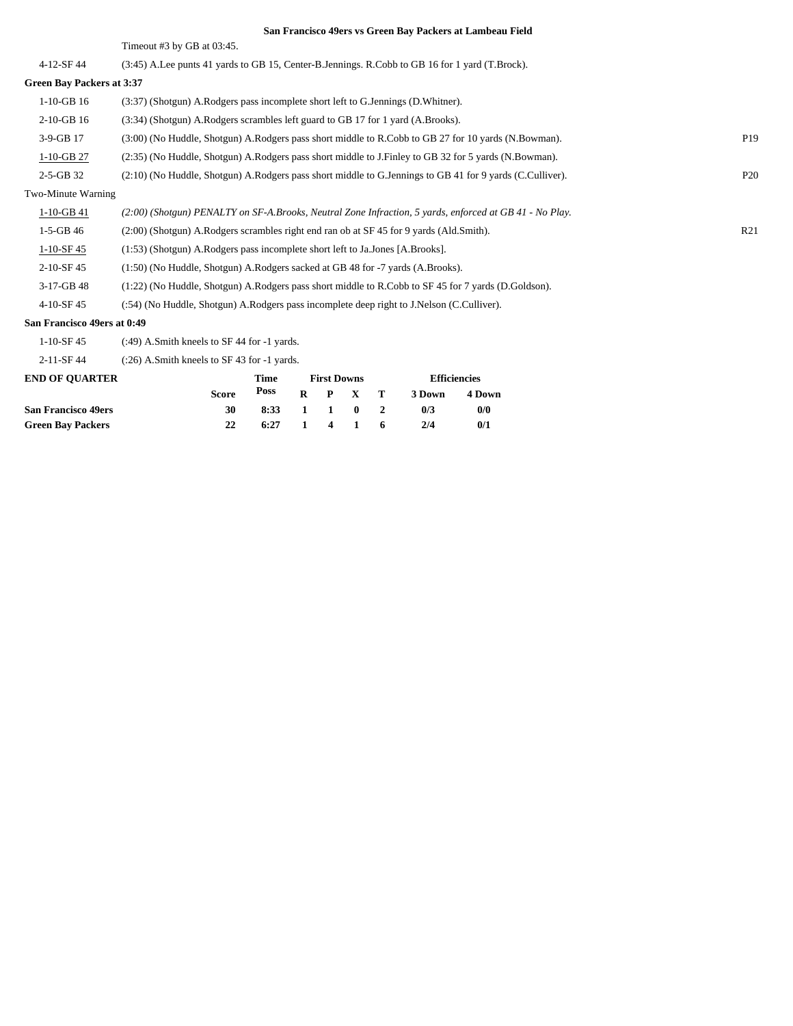|  | San Francisco 49ers vs Green Bay Packers at Lambeau Field |
|--|-----------------------------------------------------------|
|  |                                                           |

Timeout #3 by GB at 03:45.

| 4-12-SF 44                                | (3:45) A.Lee punts 41 yards to GB 15, Center-B.Jennings. R.Cobb to GB 16 for 1 yard (T.Brock).           |                 |
|-------------------------------------------|----------------------------------------------------------------------------------------------------------|-----------------|
| <b>Green Bay Packers at 3:37</b>          |                                                                                                          |                 |
| $1-10-GB$ 16                              | (3:37) (Shotgun) A.Rodgers pass incomplete short left to G.Jennings (D.Whitner).                         |                 |
| $2-10-GB$ 16                              | (3:34) (Shotgun) A.Rodgers scrambles left guard to GB 17 for 1 yard (A.Brooks).                          |                 |
| $3-9-GB$ 17                               | (3:00) (No Huddle, Shotgun) A.Rodgers pass short middle to R.Cobb to GB 27 for 10 yards (N.Bowman).      | P <sub>19</sub> |
| $1-10-GB$ 27                              | (2:35) (No Huddle, Shotgun) A.Rodgers pass short middle to J.Finley to GB 32 for 5 yards (N.Bowman).     |                 |
| $2-5-GB$ 32                               | (2:10) (No Huddle, Shotgun) A.Rodgers pass short middle to G.Jennings to GB 41 for 9 yards (C.Culliver). | P <sub>20</sub> |
| Two-Minute Warning                        |                                                                                                          |                 |
| $1-10-GB$ 41                              | (2:00) (Shotgun) PENALTY on SF-A.Brooks, Neutral Zone Infraction, 5 yards, enforced at GB 41 - No Play.  |                 |
| $1-5-GB46$                                | (2:00) (Shotgun) A.Rodgers scrambles right end ran ob at SF 45 for 9 yards (Ald.Smith).                  | R21             |
| $1-10-SF$ 45                              | (1:53) (Shotgun) A.Rodgers pass incomplete short left to Ja.Jones [A.Brooks].                            |                 |
| 2-10-SF 45                                | (1:50) (No Huddle, Shotgun) A.Rodgers sacked at GB 48 for -7 yards (A.Brooks).                           |                 |
| 3-17-GB 48                                | (1:22) (No Huddle, Shotgun) A.Rodgers pass short middle to R.Cobb to SF 45 for 7 yards (D.Goldson).      |                 |
| $4-10-SF$ 45                              | (:54) (No Huddle, Shotgun) A.Rodgers pass incomplete deep right to J.Nelson (C.Culliver).                |                 |
| San Francisco 49ers at 0:49               |                                                                                                          |                 |
| $\sim$ $\sim$ $\sim$ $\sim$ $\sim$ $\sim$ |                                                                                                          |                 |

1-10-SF 45 (:49) A.Smith kneels to SF 44 for -1 yards.

| $2 - 11 - SF44$            | $(26)$ A.Smith kneels to SF 43 for $-1$ vards. |      |                    |              |                     |        |        |  |
|----------------------------|------------------------------------------------|------|--------------------|--------------|---------------------|--------|--------|--|
| <b>END OF OUARTER</b>      | Time                                           |      | <b>First Downs</b> |              | <b>Efficiencies</b> |        |        |  |
|                            | <b>Score</b>                                   | Poss |                    |              | $R$ $P$ $X$ $T$     | 3 Down | 4 Down |  |
| <b>San Francisco 49ers</b> | 30                                             | 8:33 |                    |              | 1 1 0               | 0/3    | 0/0    |  |
| <b>Green Bay Packers</b>   | 22                                             | 6:27 | $\mathbf{1}$       | $\mathbf{4}$ | $\blacksquare$      | 2/4    | 0/1    |  |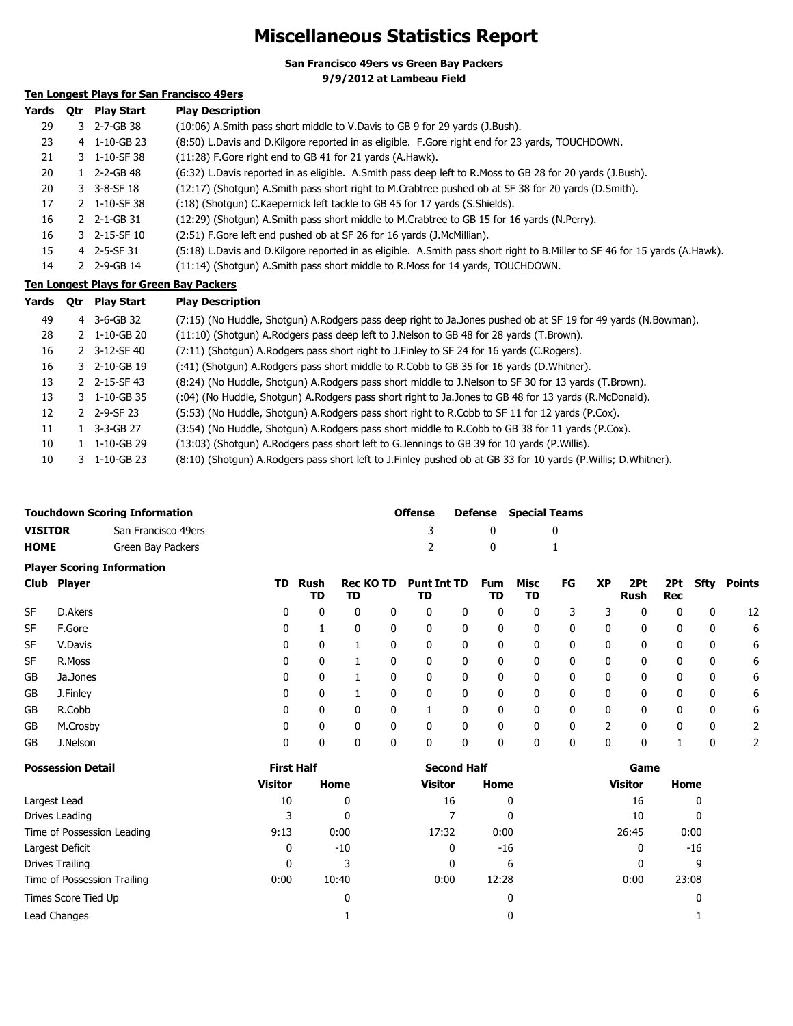### **Miscellaneous Statistics Report**

**San Francisco 49ers vs Green Bay Packers 9/9/2012 at Lambeau Field**

### **Ten Longest Plays for San Francisco 49ers**

| Yards | Otr | <b>Play Start</b>             | <b>Play Description</b>                                                                                                    |
|-------|-----|-------------------------------|----------------------------------------------------------------------------------------------------------------------------|
| 29    |     | $3$ 2-7-GB 38                 | (10:06) A.Smith pass short middle to V.Davis to GB 9 for 29 yards (J.Bush).                                                |
| 23    |     | 4 1-10-GB 23                  | (8:50) L.Davis and D.Kilgore reported in as eligible. F.Gore right end for 23 yards, TOUCHDOWN.                            |
| 21    |     | 3 1-10-SF 38                  | (11:28) F. Gore right end to GB 41 for 21 yards (A. Hawk).                                                                 |
| 20    |     | $1 \quad 2 - 2 - GB \quad 48$ | (6:32) L.Davis reported in as eligible. A.Smith pass deep left to R.Moss to GB 28 for 20 yards (J.Bush).                   |
| 20    |     | $3 - 3 - 8 - SF$ 18           | (12:17) (Shotgun) A.Smith pass short right to M.Crabtree pushed ob at SF 38 for 20 yards (D.Smith).                        |
| 17    |     | 2 1-10-SF 38                  | (:18) (Shotgun) C.Kaepernick left tackle to GB 45 for 17 yards (S.Shields).                                                |
| 16    |     | 2 $2 - 1 - GB$ 31             | (12:29) (Shotqun) A.Smith pass short middle to M.Crabtree to GB 15 for 16 yards (N.Perry).                                 |
| 16    |     | 3 2-15-SF 10                  | (2:51) F. Gore left end pushed ob at SF 26 for 16 yards (J. McMillian).                                                    |
| 15    |     | 4 2-5-SF 31                   | (5:18) L.Davis and D.Kilgore reported in as eligible. A.Smith pass short right to B.Miller to SF 46 for 15 yards (A.Hawk). |
| 14    |     | 2 2-9-GB 14                   | (11:14) (Shotgun) A.Smith pass short middle to R.Moss for 14 yards, TOUCHDOWN.                                             |

#### **Ten Longest Plays for Green Bay Packers**

| Yards | <b>Otr</b> | <b>Play Start</b>              | <b>Play Description</b>                                                                                       |
|-------|------------|--------------------------------|---------------------------------------------------------------------------------------------------------------|
| 49    |            | 4 3-6-GB 32                    | (7:15) (No Huddle, Shotgun) A.Rodgers pass deep right to Ja.Jones pushed ob at SF 19 for 49 yards (N.Bowman). |
| 28    |            | $2 \quad 1 - 10 - GB \quad 20$ | (11:10) (Shotgun) A.Rodgers pass deep left to J.Nelson to GB 48 for 28 yards (T.Brown).                       |
| 16    |            | 2 3-12-SF 40                   | (7:11) (Shotgun) A.Rodgers pass short right to J.Finley to SF 24 for 16 yards (C.Rogers).                     |
| 16    |            | 3 2-10-GB 19                   | (:41) (Shotgun) A.Rodgers pass short middle to R.Cobb to GB 35 for 16 yards (D.Whitner).                      |
| 13    |            | 2 2-15-SF 43                   | (8:24) (No Huddle, Shotgun) A.Rodgers pass short middle to J.Nelson to SF 30 for 13 yards (T.Brown).          |
| 13    |            | 3 1-10-GB 35                   | (:04) (No Huddle, Shotgun) A.Rodgers pass short right to Ja.Jones to GB 48 for 13 yards (R.McDonald).         |
| 12    |            | 2 2-9-SF 23                    | (5:53) (No Huddle, Shotgun) A.Rodgers pass short right to R.Cobb to SF 11 for 12 yards (P.Cox).               |
| 11    |            | 1 3-3-GB 27                    | (3:54) (No Huddle, Shotgun) A.Rodgers pass short middle to R.Cobb to GB 38 for 11 yards (P.Cox).              |
| 10    |            | 1-10-GB 29                     | (13:03) (Shotgun) A.Rodgers pass short left to G.Jennings to GB 39 for 10 yards (P.Willis).                   |
| 10    |            | $3 \quad 1 - 10 - GB$ 23       | (8:10) (Shotgun) A.Rodgers pass short left to J.Finley pushed ob at GB 33 for 10 yards (P.Willis; D.Whitner). |

|                | <b>Touchdown Scoring Information</b> | Offense       |    | Defense Special Teams |  |  |
|----------------|--------------------------------------|---------------|----|-----------------------|--|--|
| <b>VISITOR</b> | San Francisco 49ers                  |               |    |                       |  |  |
| <b>HOME</b>    | Green Bav Packers                    | $\mathcal{L}$ | n. |                       |  |  |
|                | <b>Player Scoring Information</b>    |               |    |                       |  |  |

|           | -<br>.        |     |            |                 |   |                          |   |           |              |    |    |             |     |              |        |
|-----------|---------------|-----|------------|-----------------|---|--------------------------|---|-----------|--------------|----|----|-------------|-----|--------------|--------|
| Club      | <b>Player</b> | TD. | Rush<br>TD | Rec KO TD<br>TD |   | <b>Punt Int TD</b><br>TD |   | Fum<br>TD | Misc<br>TD   | FG | XP | 2Pt<br>Rush | Rec | 2Pt Sfty     | Points |
| <b>SF</b> | D.Akers       | 0   | 0          | 0               |   | 0                        | 0 | 0         | 0            |    |    | 0           | 0   | 0            | 12     |
| <b>SF</b> | F.Gore        | 0   |            | 0               | 0 | 0                        | 0 | 0         | 0            | 0  | 0  | 0           | 0   | 0            | 6      |
| <b>SF</b> | V.Davis       | 0   | 0          |                 | 0 | 0                        | 0 | 0         | 0            | 0  | 0  | 0           | 0   | $\mathbf{0}$ | 6      |
| SF        | R.Moss        | 0   | 0          |                 |   | 0                        | 0 | 0         | 0            | 0  | 0  | 0           | 0   | 0            | 6      |
| GB        | Ja.Jones      | 0   | 0          |                 |   | 0                        | 0 | 0         | 0            | 0  | 0  | 0           | 0   | $\mathbf{0}$ | 6      |
| GB        | J.Finley      | 0   | 0          |                 |   | 0                        | 0 | 0         | 0            | 0  | 0  | 0           | 0   | 0            | 6      |
| GB        | R.Cobb        | 0   | 0          | 0               | 0 |                          | 0 | 0         | 0            | 0  | 0  | 0           | 0   | 0            | 6      |
| GB        | M.Crosby      | 0   | 0          | 0               | 0 | 0                        | 0 | 0         | $\mathbf{0}$ | 0  | 2  | 0           | 0   | $\mathbf{0}$ | 2      |
| GB        | J.Nelson      | 0   | 0          | 0               |   | 0                        | 0 | 0         |              | 0  | 0  | 0           |     | 0            |        |
|           |               |     |            |                 |   |                          |   |           |              |    |    |             |     |              |        |

| <b>Possession Detail</b>    | <b>First Half</b> |              | <b>Second Half</b> |       | Game           |       |  |
|-----------------------------|-------------------|--------------|--------------------|-------|----------------|-------|--|
|                             | <b>Visitor</b>    | Home         | Visitor            | Home  | <b>Visitor</b> | Home  |  |
| Largest Lead                | 10                | 0            | 16                 | 0     | 16             | 0     |  |
| Drives Leading              |                   | 0            |                    | 0     | 10             | 0     |  |
| Time of Possession Leading  | 9:13              | 0:00         | 17:32              | 0:00  | 26:45          | 0:00  |  |
| Largest Deficit             | 0                 | $-10$        | 0                  | $-16$ | 0              | $-16$ |  |
| Drives Trailing             | 0                 |              | 0                  | 6     | 0              | 9     |  |
| Time of Possession Trailing | 0:00              | 10:40        | 0:00               | 12:28 | 0:00           | 23:08 |  |
| Times Score Tied Up         |                   | $\mathbf{0}$ |                    | 0     |                | 0     |  |
| Lead Changes                |                   |              |                    | C     |                |       |  |